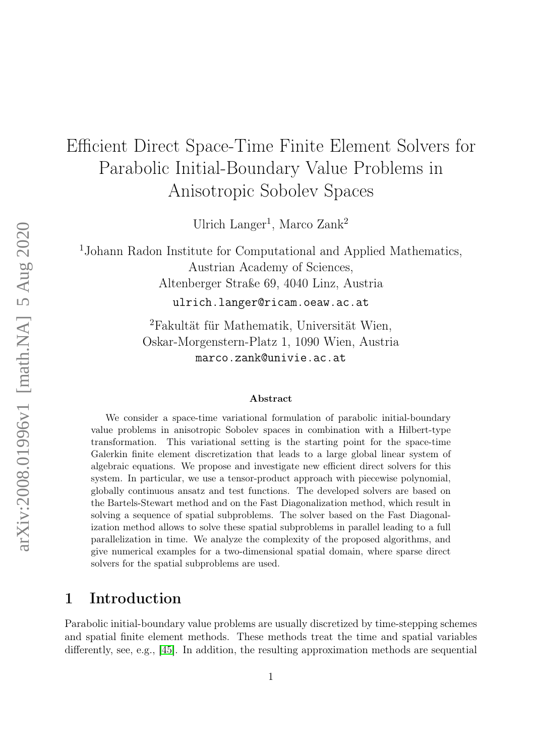# Efficient Direct Space-Time Finite Element Solvers for Parabolic Initial-Boundary Value Problems in Anisotropic Sobolev Spaces

Ulrich Langer<sup>1</sup>, Marco Zank<sup>2</sup>

<sup>1</sup>Johann Radon Institute for Computational and Applied Mathematics, Austrian Academy of Sciences, Altenberger Straße 69, 4040 Linz, Austria

ulrich.langer@ricam.oeaw.ac.at

<sup>2</sup>Fakultät für Mathematik, Universität Wien, Oskar-Morgenstern-Platz 1, 1090 Wien, Austria marco.zank@univie.ac.at

#### Abstract

We consider a space-time variational formulation of parabolic initial-boundary value problems in anisotropic Sobolev spaces in combination with a Hilbert-type transformation. This variational setting is the starting point for the space-time Galerkin finite element discretization that leads to a large global linear system of algebraic equations. We propose and investigate new efficient direct solvers for this system. In particular, we use a tensor-product approach with piecewise polynomial, globally continuous ansatz and test functions. The developed solvers are based on the Bartels-Stewart method and on the Fast Diagonalization method, which result in solving a sequence of spatial subproblems. The solver based on the Fast Diagonalization method allows to solve these spatial subproblems in parallel leading to a full parallelization in time. We analyze the complexity of the proposed algorithms, and give numerical examples for a two-dimensional spatial domain, where sparse direct solvers for the spatial subproblems are used.

# 1 Introduction

Parabolic initial-boundary value problems are usually discretized by time-stepping schemes and spatial finite element methods. These methods treat the time and spatial variables differently, see, e.g., [\[45\]](#page-26-0). In addition, the resulting approximation methods are sequential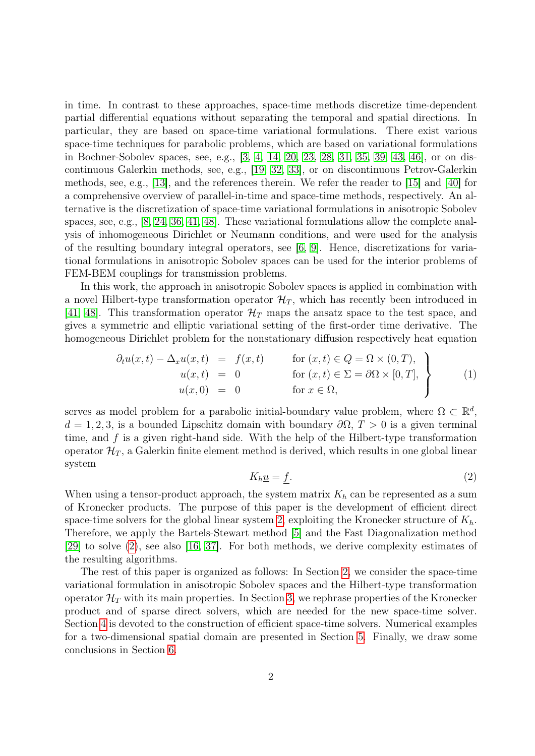in time. In contrast to these approaches, space-time methods discretize time-dependent partial differential equations without separating the temporal and spatial directions. In particular, they are based on space-time variational formulations. There exist various space-time techniques for parabolic problems, which are based on variational formulations in Bochner-Sobolev spaces, see, e.g., [\[3,](#page-23-0) [4,](#page-23-1) [14,](#page-24-0) [20,](#page-24-1) [23,](#page-24-2) [28,](#page-25-0) [31,](#page-25-1) [35,](#page-25-2) [39,](#page-26-1) [43,](#page-26-2) [46\]](#page-26-3), or on discontinuous Galerkin methods, see, e.g., [\[19,](#page-24-3) [32,](#page-25-3) [33\]](#page-25-4), or on discontinuous Petrov-Galerkin methods, see, e.g., [\[13\]](#page-24-4), and the references therein. We refer the reader to [\[15\]](#page-24-5) and [\[40\]](#page-26-4) for a comprehensive overview of parallel-in-time and space-time methods, respectively. An alternative is the discretization of space-time variational formulations in anisotropic Sobolev spaces, see, e.g., [\[8,](#page-23-2) [24,](#page-25-5) [36,](#page-25-6) [41,](#page-26-5) [48\]](#page-26-6). These variational formulations allow the complete analysis of inhomogeneous Dirichlet or Neumann conditions, and were used for the analysis of the resulting boundary integral operators, see [\[6,](#page-23-3) [9\]](#page-23-4). Hence, discretizations for variational formulations in anisotropic Sobolev spaces can be used for the interior problems of FEM-BEM couplings for transmission problems.

In this work, the approach in anisotropic Sobolev spaces is applied in combination with a novel Hilbert-type transformation operator  $\mathcal{H}_T$ , which has recently been introduced in [\[41,](#page-26-5) [48\]](#page-26-6). This transformation operator  $\mathcal{H}_T$  maps the ansatz space to the test space, and gives a symmetric and elliptic variational setting of the first-order time derivative. The homogeneous Dirichlet problem for the nonstationary diffusion respectively heat equation

<span id="page-1-1"></span>
$$
\partial_t u(x,t) - \Delta_x u(x,t) = f(x,t) \quad \text{for } (x,t) \in Q = \Omega \times (0,T),
$$
  
\n
$$
u(x,t) = 0 \quad \text{for } (x,t) \in \Sigma = \partial \Omega \times [0,T],
$$
  
\n
$$
u(x,0) = 0 \quad \text{for } x \in \Omega,
$$
\n(1)

serves as model problem for a parabolic initial-boundary value problem, where  $\Omega \subset \mathbb{R}^d$ ,  $d = 1, 2, 3$ , is a bounded Lipschitz domain with boundary  $\partial\Omega$ ,  $T > 0$  is a given terminal time, and  $f$  is a given right-hand side. With the help of the Hilbert-type transformation operator  $\mathcal{H}_T$ , a Galerkin finite element method is derived, which results in one global linear system

<span id="page-1-0"></span>
$$
K_h \underline{u} = f. \tag{2}
$$

When using a tensor-product approach, the system matrix  $K_h$  can be represented as a sum of Kronecker products. The purpose of this paper is the development of efficient direct space-time solvers for the global linear system [2,](#page-1-0) exploiting the Kronecker structure of  $K_h$ . Therefore, we apply the Bartels-Stewart method [\[5\]](#page-23-5) and the Fast Diagonalization method [\[29\]](#page-25-7) to solve [\(2\)](#page-1-0), see also [\[16,](#page-24-6) [37\]](#page-25-8). For both methods, we derive complexity estimates of the resulting algorithms.

The rest of this paper is organized as follows: In Section [2,](#page-2-0) we consider the space-time variational formulation in anisotropic Sobolev spaces and the Hilbert-type transformation operator  $\mathcal{H}_T$  with its main properties. In Section [3,](#page-7-0) we rephrase properties of the Kronecker product and of sparse direct solvers, which are needed for the new space-time solver. Section [4](#page-9-0) is devoted to the construction of efficient space-time solvers. Numerical examples for a two-dimensional spatial domain are presented in Section [5.](#page-18-0) Finally, we draw some conclusions in Section [6.](#page-22-0)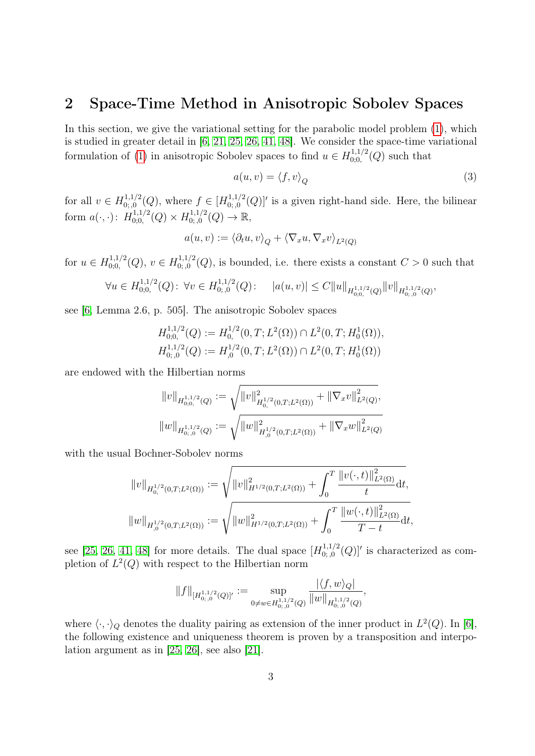## <span id="page-2-0"></span>2 Space-Time Method in Anisotropic Sobolev Spaces

In this section, we give the variational setting for the parabolic model problem [\(1\)](#page-1-1), which is studied in greater detail in [\[6,](#page-23-3) [21,](#page-24-7) [25,](#page-25-9) [26,](#page-25-10) [41,](#page-26-5) [48\]](#page-26-6). We consider the space-time variational formulation of [\(1\)](#page-1-1) in anisotropic Sobolev spaces to find  $u \in H_{0,0}^{1,1/2}$  $_{0,0,0}^{(1,1/2)}(Q)$  such that

<span id="page-2-1"></span>
$$
a(u, v) = \langle f, v \rangle_Q \tag{3}
$$

for all  $v \in H^{1,1/2}_{0.0}$  $\chi_{0;0}^{1,1/2}(Q)$ , where  $f \in [H_{0;0}^{1,1/2}]$  $\int_{0,0}^{1,1/2}(Q)|'$  is a given right-hand side. Here, the bilinear form  $a(\cdot, \cdot)$ :  $H_{0:0}^{1,1/2}$  $H_{0;0,0}^{1,1/2}(Q)\times H_{0;,0}^{1,1/2}$  $_{0;,0}^{1,1/2}(Q) \to \mathbb{R},$ 

$$
a(u, v) := \langle \partial_t u, v \rangle_Q + \langle \nabla_x u, \nabla_x v \rangle_{L^2(Q)}
$$

for  $u \in H_{0:0}^{1,1/2}$  $U_{0,0}^{1,1/2}(Q), v \in H_{0,0}^{1,1/2}$  $0, 0, 0, 0, 0, 0, 0, ...$  is bounded, i.e. there exists a constant  $C > 0$  such that

$$
\forall u \in H_{0;0,0}^{1,1/2}(Q): \ \forall v \in H_{0;0}^{1,1/2}(Q): \quad |a(u,v)| \leq C \|u\|_{H_{0;0,0}^{1,1/2}(Q)} \|v\|_{H_{0;0}^{1,1/2}(Q)},
$$

see [\[6,](#page-23-3) Lemma 2.6, p. 505]. The anisotropic Sobolev spaces

$$
H_{0;0,0}^{1,1/2}(Q) := H_0^{1/2}(0,T;L^2(\Omega)) \cap L^2(0,T;H_0^1(\Omega)),
$$
  

$$
H_{0;0,0}^{1,1/2}(Q) := H_{,0}^{1/2}(0,T;L^2(\Omega)) \cap L^2(0,T;H_0^1(\Omega))
$$

are endowed with the Hilbertian norms

$$
||v||_{H_{0;0,0}^{1,1/2}(Q)} := \sqrt{||v||_{H_{0,0}^{1/2}(0,T;L^2(\Omega))}^2 + ||\nabla_x v||_{L^2(Q)}^2},
$$
  

$$
||w||_{H_{0;0}^{1,1/2}(Q)} := \sqrt{||w||_{H_{0}^{1/2}(0,T;L^2(\Omega))}^2 + ||\nabla_x w||_{L^2(Q)}^2}
$$

with the usual Bochner-Sobolev norms

$$
||v||_{H_{0,}^{1/2}(0,T;L^{2}(\Omega))} := \sqrt{||v||_{H^{1/2}(0,T;L^{2}(\Omega))}^{2} + \int_{0}^{T} \frac{||v(\cdot,t)||_{L^{2}(\Omega)}^{2}}{t} \mathrm{d}t},
$$
  

$$
||w||_{H_{0,0}^{1/2}(0,T;L^{2}(\Omega))} := \sqrt{||w||_{H^{1/2}(0,T;L^{2}(\Omega))}^{2} + \int_{0}^{T} \frac{||w(\cdot,t)||_{L^{2}(\Omega)}^{2}}{T-t} \mathrm{d}t},
$$

see [\[25,](#page-25-9) [26,](#page-25-10) [41,](#page-26-5) [48\]](#page-26-6) for more details. The dual space  $[H_{0:0}^{1,1/2}]$  $\binom{1,1/2}{0,0}(Q)'$  is characterized as completion of  $L^2(Q)$  with respect to the Hilbertian norm

$$
||f||_{[H_{0;0}^{1,1/2}(Q)]'}:=\sup_{0\neq w\in H_{0;0}^{1,1/2}(Q)}\frac{|\langle f,w\rangle_{Q}|}{||w||_{H_{0;0}^{1,1/2}(Q)}},
$$

|hf, wiQ|

where  $\langle \cdot, \cdot \rangle_Q$  denotes the duality pairing as extension of the inner product in  $L^2(Q)$ . In [\[6\]](#page-23-3), the following existence and uniqueness theorem is proven by a transposition and interpolation argument as in [\[25,](#page-25-9) [26\]](#page-25-10), see also [\[21\]](#page-24-7).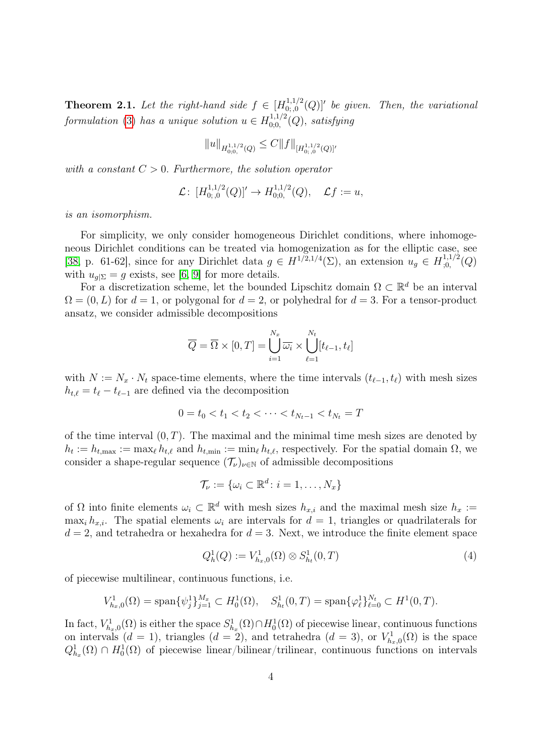**Theorem 2.1.** Let the right-hand side  $f \in [H]_{0:0}^{1,1/2}$  $\left[0.5,0.5\right]^{1,1/2}(Q)$ ]' be given. Then, the variational formulation [\(3\)](#page-2-1) has a unique solution  $u \in H_{0:0}^{1,1/2}$  $\int_{0;0,}^{1,1/2} (Q)$ , satisfying

$$
||u||_{H^{1,1/2}_{0;0,0}(Q)} \leq C||f||_{[H^{1,1/2}_{0;,0}(Q)]'}
$$

with a constant  $C > 0$ . Furthermore, the solution operator

$$
\mathcal{L}\colon [H_{0;0}^{1,1/2}(Q)]' \to H_{0;0,0}^{1,1/2}(Q), \quad \mathcal{L}f := u,
$$

is an isomorphism.

For simplicity, we only consider homogeneous Dirichlet conditions, where inhomogeneous Dirichlet conditions can be treated via homogenization as for the elliptic case, see [\[38,](#page-25-11) p. 61-62], since for any Dirichlet data  $g \in H^{1/2,1/4}(\Sigma)$ , an extension  $u_g \in H^{1,1/2}_{0,1}$  $_{;0,}^{1,1/2}(Q)$ with  $u_{g|\Sigma} = g$  exists, see [\[6,](#page-23-3) [9\]](#page-23-4) for more details.

For a discretization scheme, let the bounded Lipschitz domain  $\Omega \subset \mathbb{R}^d$  be an interval  $\Omega = (0, L)$  for  $d = 1$ , or polygonal for  $d = 2$ , or polyhedral for  $d = 3$ . For a tensor-product ansatz, we consider admissible decompositions

$$
\overline{Q} = \overline{\Omega} \times [0, T] = \bigcup_{i=1}^{N_x} \overline{\omega_i} \times \bigcup_{\ell=1}^{N_t} [t_{\ell-1}, t_{\ell}]
$$

with  $N := N_x \cdot N_t$  space-time elements, where the time intervals  $(t_{\ell-1}, t_\ell)$  with mesh sizes  $h_{t,\ell} = t_{\ell} - t_{\ell-1}$  are defined via the decomposition

$$
0 = t_0 < t_1 < t_2 < \cdots < t_{N_t-1} < t_{N_t} = T
$$

of the time interval  $(0, T)$ . The maximal and the minimal time mesh sizes are denoted by  $h_t := h_{t,\text{max}} := \max_{\ell} h_{t,\ell}$  and  $h_{t,\text{min}} := \min_{\ell} h_{t,\ell}$ , respectively. For the spatial domain  $\Omega$ , we consider a shape-regular sequence  $(\mathcal{T}_{\nu})_{\nu\in\mathbb{N}}$  of admissible decompositions

$$
\mathcal{T}_{\nu} := \{ \omega_i \subset \mathbb{R}^d \colon i = 1, \dots, N_x \}
$$

of  $\Omega$  into finite elements  $\omega_i \subset \mathbb{R}^d$  with mesh sizes  $h_{x,i}$  and the maximal mesh size  $h_x :=$ max<sub>i</sub>  $h_{x,i}$ . The spatial elements  $\omega_i$  are intervals for  $d = 1$ , triangles or quadrilaterals for  $d = 2$ , and tetrahedra or hexahedra for  $d = 3$ . Next, we introduce the finite element space

<span id="page-3-0"></span>
$$
Q_h^1(Q) := V_{h_x,0}^1(\Omega) \otimes S_{h_t}^1(0,T) \tag{4}
$$

of piecewise multilinear, continuous functions, i.e.

$$
V_{h_x,0}^1(\Omega) = \text{span}\{\psi_j^1\}_{j=1}^{M_x} \subset H_0^1(\Omega), \quad S_{h_t}^1(0,T) = \text{span}\{\varphi_\ell^1\}_{\ell=0}^{N_t} \subset H^1(0,T).
$$

In fact,  $V_{h_x,0}^1(\Omega)$  is either the space  $S_{h_x}^1(\Omega) \cap H_0^1(\Omega)$  of piecewise linear, continuous functions on intervals  $(d = 1)$ , triangles  $(d = 2)$ , and tetrahedra  $(d = 3)$ , or  $V_{h_x,0}^1(\Omega)$  is the space  $Q_{h_x}^1(\Omega) \cap H_0^1(\Omega)$  of piecewise linear/bilinear/trilinear, continuous functions on intervals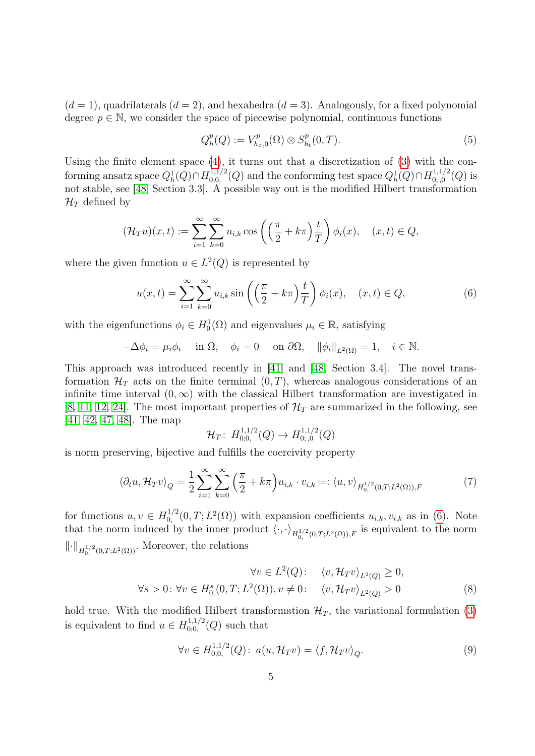$(d = 1)$ , quadrilaterals  $(d = 2)$ , and hexahedra  $(d = 3)$ . Analogously, for a fixed polynomial degree  $p \in \mathbb{N}$ , we consider the space of piecewise polynomial, continuous functions

<span id="page-4-2"></span>
$$
Q_h^p(Q) := V_{h_x,0}^p(\Omega) \otimes S_{h_t}^p(0,T). \tag{5}
$$

Using the finite element space  $(4)$ , it turns out that a discretization of  $(3)$  with the conforming ansatz space  $Q_h^1(Q) \cap H_{0;0,0}^{1,1/2}$  $\chi_{0,0,0}^{1,1/2}(Q)$  and the conforming test space  $Q_h^1(Q) \cap H_{0,0,0}^{1,1/2}$  $\binom{1,1/2}{0,0}(Q)$  is not stable, see [\[48,](#page-26-6) Section 3.3]. A possible way out is the modified Hilbert transformation  $\mathcal{H}_T$  defined by

$$
(\mathcal{H}_T u)(x,t) := \sum_{i=1}^{\infty} \sum_{k=0}^{\infty} u_{i,k} \cos\left(\left(\frac{\pi}{2} + k\pi\right) \frac{t}{T}\right) \phi_i(x), \quad (x,t) \in Q,
$$

where the given function  $u \in L^2(Q)$  is represented by

<span id="page-4-0"></span>
$$
u(x,t) = \sum_{i=1}^{\infty} \sum_{k=0}^{\infty} u_{i,k} \sin\left(\left(\frac{\pi}{2} + k\pi\right) \frac{t}{T}\right) \phi_i(x), \quad (x,t) \in Q,
$$
 (6)

with the eigenfunctions  $\phi_i \in H_0^1(\Omega)$  and eigenvalues  $\mu_i \in \mathbb{R}$ , satisfying

$$
-\Delta \phi_i = \mu_i \phi_i \quad \text{ in } \Omega, \quad \phi_i = 0 \quad \text{ on } \partial \Omega, \quad ||\phi_i||_{L^2(\Omega)} = 1, \quad i \in \mathbb{N}.
$$

This approach was introduced recently in [\[41\]](#page-26-5) and [\[48,](#page-26-6) Section 3.4]. The novel transformation  $\mathcal{H}_T$  acts on the finite terminal  $(0, T)$ , whereas analogous considerations of an infinite time interval  $(0, \infty)$  with the classical Hilbert transformation are investigated in [\[8,](#page-23-2) [11,](#page-24-8) [12,](#page-24-9) [24\]](#page-25-5). The most important properties of  $\mathcal{H}_T$  are summarized in the following, see [\[41,](#page-26-5) [42,](#page-26-7) [47,](#page-26-8) [48\]](#page-26-6). The map

$$
\mathcal{H}_T\colon H^{1,1/2}_{0,0,}(Q)\to H^{1,1/2}_{0,0}(Q)
$$

is norm preserving, bijective and fulfills the coercivity property

<span id="page-4-3"></span>
$$
\langle \partial_t u, \mathcal{H}_T v \rangle_Q = \frac{1}{2} \sum_{i=1}^{\infty} \sum_{k=0}^{\infty} \left( \frac{\pi}{2} + k\pi \right) u_{i,k} \cdot v_{i,k} =: \langle u, v \rangle_{H^{1/2}_{0,}(0,T;L^2(\Omega)),F}
$$
(7)

for functions  $u, v \in H_0^{1/2}$  $u_{i,k}^{1/2}(0,T;L^2(\Omega))$  with expansion coefficients  $u_{i,k}, v_{i,k}$  as in [\(6\)](#page-4-0). Note that the norm induced by the inner product  $\langle \cdot, \cdot \rangle_{H_{0,2}^{1/2}(0,T;L^2(\Omega)),F}$  is equivalent to the norm  $\lVert \cdot \rVert_{H^{1/2}_0(0,T;L^2(\Omega))}$ . Moreover, the relations

$$
\forall v \in L^{2}(Q): \quad \langle v, \mathcal{H}_{T}v \rangle_{L^{2}(Q)} \ge 0,
$$
  

$$
\forall s > 0: \forall v \in H_{0}^{s}(0, T; L^{2}(\Omega)), v \neq 0: \quad \langle v, \mathcal{H}_{T}v \rangle_{L^{2}(Q)} > 0
$$
 (8)

hold true. With the modified Hilbert transformation  $\mathcal{H}_T$ , the variational formulation [\(3\)](#page-2-1) is equivalent to find  $u \in H_{0:0}^{1,1/2}$  $_{0,0,0}^{(1,1/2)}(Q)$  such that

<span id="page-4-4"></span><span id="page-4-1"></span>
$$
\forall v \in H_{0,0,}^{1,1/2}(Q): a(u, \mathcal{H}_T v) = \langle f, \mathcal{H}_T v \rangle_Q.
$$
\n(9)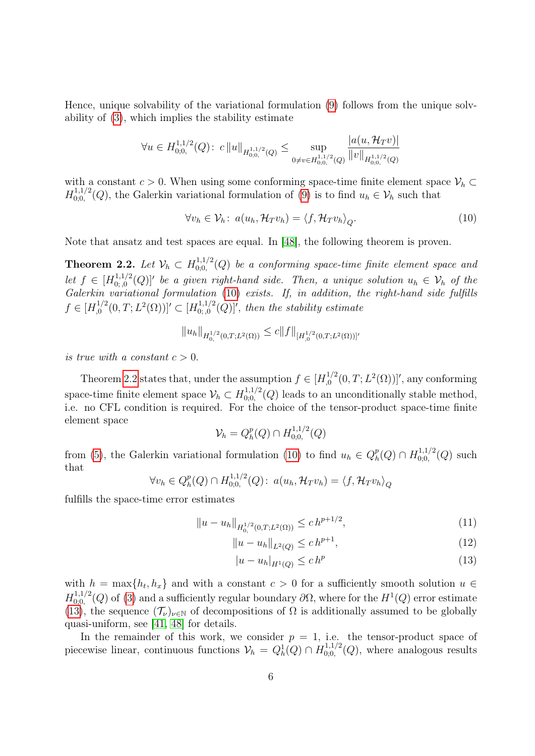Hence, unique solvability of the variational formulation [\(9\)](#page-4-1) follows from the unique solvability of [\(3\)](#page-2-1), which implies the stability estimate

$$
\forall u \in H_{0;0,}^{1,1/2}(Q): c \|u\|_{H_{0;0,}^{1,1/2}(Q)} \leq \sup_{0 \neq v \in H_{0;0,}^{1,1/2}(Q)} \frac{|a(u, \mathcal{H}_T v)|}{\|v\|_{H_{0;0,}^{1,1/2}(Q)}}
$$

with a constant  $c > 0$ . When using some conforming space-time finite element space  $\mathcal{V}_h \subset$  $H_{0:0}^{1,1/2}$  $(0,0,0,0)$ , the Galerkin variational formulation of [\(9\)](#page-4-1) is to find  $u_h \in V_h$  such that

<span id="page-5-0"></span>
$$
\forall v_h \in \mathcal{V}_h \colon a(u_h, \mathcal{H}_T v_h) = \langle f, \mathcal{H}_T v_h \rangle_Q. \tag{10}
$$

Note that ansatz and test spaces are equal. In [\[48\]](#page-26-6), the following theorem is proven.

<span id="page-5-1"></span>Theorem 2.2. Let  $\mathcal{V}_h \subset H_{0:0}^{1,1/2}$  $\hat{\theta}_{0;0,0}^{1,1/2}(Q)$  be a conforming space-time finite element space and let  $f \in [H_0^{1,1/2}]$  $\{a_{0,i,0}^{(1,1/2)}(Q)\}$  be a given right-hand side. Then, a unique solution  $u_h \in \mathcal{V}_h$  of the Galerkin variational formulation [\(10\)](#page-5-0) exists. If, in addition, the right-hand side fulfills  $f \in [H_0^{1/2}]$  $\big[ \begin{smallmatrix} 1/2 \ 0, T; L^2(\Omega) \end{smallmatrix} \big]$ '  $\subset [H^{1,1/2}_{0,0}]$  $\mathcal{L}_{0,0}^{1,1/2}(Q)$ ', then the stability estimate

$$
||u_h||_{H_0^{1/2}(0,T;L^2(\Omega))} \leq c||f||_{[H_0^{1/2}(0,T;L^2(\Omega))]'}
$$

is true with a constant  $c > 0$ .

Theorem [2.2](#page-5-1) states that, under the assumption  $f \in [H_0^{1/2}]$  $\int_{0}^{1/2} (0, T; L^{2}(\Omega)) ]',$  any conforming space-time finite element space  $\mathcal{V}_h \subset H_{0,0}^{1,1/2}$  $(0,0,0,0)$  leads to an unconditionally stable method, i.e. no CFL condition is required. For the choice of the tensor-product space-time finite element space

$$
\mathcal{V}_h = Q_h^p(Q) \cap H_{0;0,}^{1,1/2}(Q)
$$

from [\(5\)](#page-4-2), the Galerkin variational formulation [\(10\)](#page-5-0) to find  $u_h \in Q_h^p$  $_{h}^{p}(Q)\cap H_{0;0,}^{1,1/2}$  $C^{1,1/2}_{0,0,0}(Q)$  such that

$$
\forall v_h \in Q_h^p(Q) \cap H_{0;0,}^{1,1/2}(Q): a(u_h, \mathcal{H}_T v_h) = \langle f, \mathcal{H}_T v_h \rangle_Q
$$

fulfills the space-time error estimates

$$
||u - u_h||_{H_0^{1/2}(0,T;L^2(\Omega))} \le ch^{p+1/2},\tag{11}
$$

$$
||u - u_h||_{L^2(Q)} \le c h^{p+1}, \tag{12}
$$

<span id="page-5-4"></span><span id="page-5-3"></span><span id="page-5-2"></span>
$$
|u - u_h|_{H^1(Q)} \le c h^p \tag{13}
$$

with  $h = \max\{h_t, h_x\}$  and with a constant  $c > 0$  for a sufficiently smooth solution  $u \in$  $H_{0:0}^{1,1/2}$  $\partial_{0,0,0}^{1,1/2}(Q)$  of [\(3\)](#page-2-1) and a sufficiently regular boundary  $\partial\Omega$ , where for the  $H^1(Q)$  error estimate [\(13\)](#page-5-2), the sequence  $(\mathcal{T}_{\nu})_{\nu\in\mathbb{N}}$  of decompositions of  $\Omega$  is additionally assumed to be globally quasi-uniform, see [\[41,](#page-26-5) [48\]](#page-26-6) for details.

In the remainder of this work, we consider  $p = 1$ , i.e. the tensor-product space of piecewise linear, continuous functions  $\mathcal{V}_h = Q_h^1(Q) \cap H_{0;0,0}^{1,1/2}$  $_{0,0,0}^{1,1/2}(Q)$ , where analogous results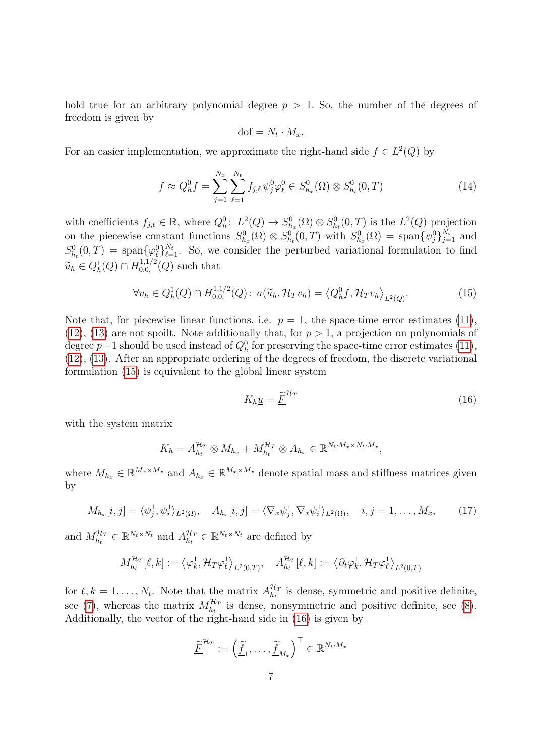hold true for an arbitrary polynomial degree  $p > 1$ . So, the number of the degrees of freedom is given by

$$
\text{dof} = N_t \cdot M_x.
$$

For an easier implementation, we approximate the right-hand side  $f \in L^2(Q)$  by

<span id="page-6-2"></span>
$$
f \approx Q_h^0 f = \sum_{j=1}^{N_x} \sum_{\ell=1}^{N_t} f_{j,\ell} \psi_j^0 \varphi_\ell^0 \in S_{h_x}^0(\Omega) \otimes S_{h_t}^0(0,T) \tag{14}
$$

with coefficients  $f_{j,\ell} \in \mathbb{R}$ , where  $Q_h^0: L^2(Q) \to S_{h_x}^0(\Omega) \otimes S_{h_t}^0(0,T)$  is the  $L^2(Q)$  projection on the piecewise constant functions  $S_{h_x}^0(\Omega) \otimes S_{h_t}^0(0,T)$  with  $S_{h_x}^0(\Omega) = \text{span}\{\psi_j^0\}_{j=1}^{N_x}$  and  $S_{h_t}^0(0,T) = \text{span}\{\varphi_\ell^0\}_{\ell=1}^{N_t}$ . So, we consider the perturbed variational formulation to find  $\widetilde{u}_h \in Q_h^1(Q) \cap H_{0,0}^{1,1/2}$  $_{0,0,0}^{(1,1/2)}(Q)$  such that

<span id="page-6-0"></span>
$$
\forall v_h \in Q_h^1(Q) \cap H_{0,0}^{1,1/2}(Q): \ a(\widetilde{u}_h, \mathcal{H}_T v_h) = \left\langle Q_h^0 f, \mathcal{H}_T v_h \right\rangle_{L^2(Q)}.
$$
 (15)

Note that, for piecewise linear functions, i.e.  $p = 1$ , the space-time error estimates [\(11\)](#page-5-3), [\(12\)](#page-5-4), [\(13\)](#page-5-2) are not spoilt. Note additionally that, for  $p > 1$ , a projection on polynomials of degree  $p-1$  should be used instead of  $Q_h^0$  for preserving the space-time error estimates [\(11\)](#page-5-3), [\(12\)](#page-5-4), [\(13\)](#page-5-2). After an appropriate ordering of the degrees of freedom, the discrete variational formulation [\(15\)](#page-6-0) is equivalent to the global linear system

<span id="page-6-1"></span>
$$
K_h \underline{u} = \underline{\widetilde{F}}^{\mathcal{H}_T} \tag{16}
$$

with the system matrix

$$
K_h = A_{h_t}^{\mathcal{H}_T} \otimes M_{h_x} + M_{h_t}^{\mathcal{H}_T} \otimes A_{h_x} \in \mathbb{R}^{N_t \cdot M_x \times N_t \cdot M_x},
$$

where  $M_{h_x} \in \mathbb{R}^{M_x \times M_x}$  and  $A_{h_x} \in \mathbb{R}^{M_x \times M_x}$  denote spatial mass and stiffness matrices given by

<span id="page-6-3"></span>
$$
M_{h_x}[i,j] = \langle \psi_j^1, \psi_i^1 \rangle_{L^2(\Omega)}, \quad A_{h_x}[i,j] = \langle \nabla_x \psi_j^1, \nabla_x \psi_i^1 \rangle_{L^2(\Omega)}, \quad i,j = 1,\ldots,M_x,
$$
 (17)

and  $M_{h_t}^{\mathcal{H}_T} \in \mathbb{R}^{N_t \times N_t}$  and  $A_{h_t}^{\mathcal{H}_T}$  $\mathcal{H}_T$   $\in \mathbb{R}^{N_t \times N_t}$  are defined by

$$
M_{h_t}^{\mathcal{H}_T}[\ell,k] := \left\langle \varphi_k^1, \mathcal{H}_T \varphi_\ell^1 \right\rangle_{L^2(0,T)}, \quad A_{h_t}^{\mathcal{H}_T}[\ell,k] := \left\langle \partial_t \varphi_k^1, \mathcal{H}_T \varphi_\ell^1 \right\rangle_{L^2(0,T)}
$$

for  $\ell, k = 1, \ldots, N_t$ . Note that the matrix  $A_{h_t}^{\mathcal{H}_T}$  $\mathcal{H}_n^T$  is dense, symmetric and positive definite, see [\(7\)](#page-4-3), whereas the matrix  $M_{h_t}^{\mathcal{H}_T}$  is dense, nonsymmetric and positive definite, see [\(8\)](#page-4-4). Additionally, the vector of the right-hand side in [\(16\)](#page-6-1) is given by

$$
\underline{\widetilde{F}}^{\mathcal{H}_T} := \left(\underline{\widetilde{f}}_1, \ldots, \underline{\widetilde{f}}_{M_x}\right)^{\top} \in \mathbb{R}^{N_t \cdot M_x}
$$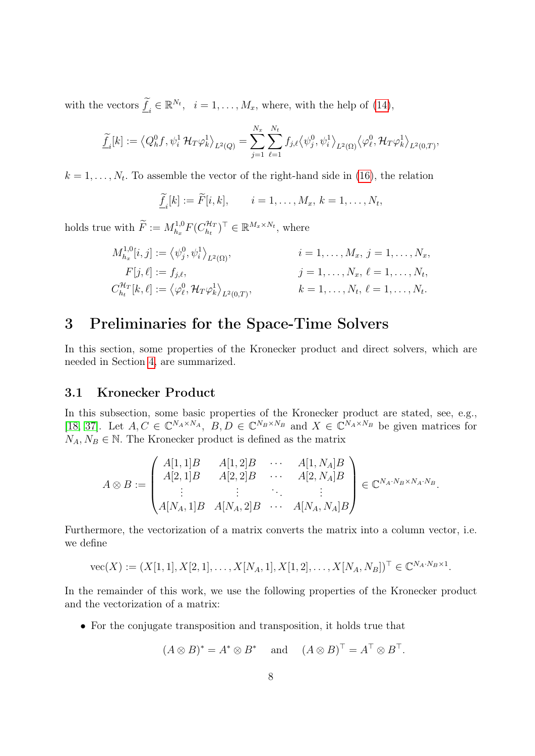with the vectors  $\tilde{f}_i \in \mathbb{R}^{N_t}$ ,  $i = 1, \ldots, M_x$ , where, with the help of [\(14\)](#page-6-2),

$$
\underline{\widetilde{f}}_i[k] := \left\langle Q_h^0 f, \psi_i^1 \mathcal{H}_T \varphi_k^1 \right\rangle_{L^2(Q)} = \sum_{j=1}^{N_x} \sum_{\ell=1}^{N_t} f_{j,\ell} \left\langle \psi_j^0, \psi_i^1 \right\rangle_{L^2(\Omega)} \left\langle \varphi_\ell^0, \mathcal{H}_T \varphi_k^1 \right\rangle_{L^2(0,T)},
$$

 $k = 1, \ldots, N_t$ . To assemble the vector of the right-hand side in [\(16\)](#page-6-1), the relation

 $\underline{f}_i[k] := F[i, k], \qquad i = 1, \dots, M_x, \ k = 1, \dots, N_t,$ 

holds true with  $\widetilde{F} := M_{h_x}^{1,0}$  $\bar{h}_x^{1,0}F(C_{h_t}^{\mathcal{H}_T})$  $(\mathcal{H}_T^{\mathcal{H}_T})^{\top} \in \mathbb{R}^{M_x \times N_t}$ , where

$$
M_{h_x}^{1,0}[i,j] := \langle \psi_j^0, \psi_i^1 \rangle_{L^2(\Omega)}, \qquad i = 1, ..., M_x, j = 1, ..., N_x, \nF[j, \ell] := f_{j,\ell}, \qquad j = 1, ..., N_x, \ell = 1, ..., N_t, \nC_{h_t}^{\mathcal{H}_T}[k, \ell] := \langle \varphi_\ell^0, \mathcal{H}_T \varphi_k^1 \rangle_{L^2(0,T)}, \qquad k = 1, ..., N_t, \ell = 1, ..., N_t.
$$

# <span id="page-7-0"></span>3 Preliminaries for the Space-Time Solvers

In this section, some properties of the Kronecker product and direct solvers, which are needed in Section [4,](#page-9-0) are summarized.

## 3.1 Kronecker Product

In this subsection, some basic properties of the Kronecker product are stated, see, e.g., [\[18,](#page-24-10) [37\]](#page-25-8). Let  $A, C \in \mathbb{C}^{N_A \times N_A}$ ,  $B, D \in \mathbb{C}^{N_B \times N_B}$  and  $X \in \mathbb{C}^{N_A \times N_B}$  be given matrices for  $N_A, N_B \in \mathbb{N}$ . The Kronecker product is defined as the matrix

$$
A \otimes B := \begin{pmatrix} A[1,1]B & A[1,2]B & \cdots & A[1,N_A]B \\ A[2,1]B & A[2,2]B & \cdots & A[2,N_A]B \\ \vdots & \vdots & \ddots & \vdots \\ A[N_A,1]B & A[N_A,2]B & \cdots & A[N_A,N_A]B \end{pmatrix} \in \mathbb{C}^{N_A \cdot N_B \times N_A \cdot N_B}.
$$

Furthermore, the vectorization of a matrix converts the matrix into a column vector, i.e. we define

 $\mathrm{vec}(X) := (X[1,1], X[2,1], \ldots, X[N_A,1], X[1,2], \ldots, X[N_A, N_B])^{\top} \in \mathbb{C}^{N_A \cdot N_B \times 1}.$ 

In the remainder of this work, we use the following properties of the Kronecker product and the vectorization of a matrix:

• For the conjugate transposition and transposition, it holds true that

$$
(A \otimes B)^* = A^* \otimes B^*
$$
 and  $(A \otimes B)^{\top} = A^{\top} \otimes B^{\top}.$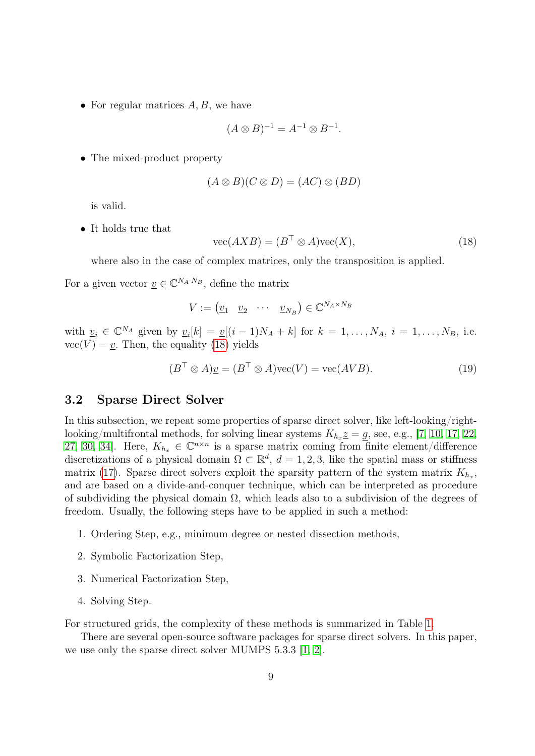• For regular matrices  $A, B$ , we have

$$
(A \otimes B)^{-1} = A^{-1} \otimes B^{-1}.
$$

• The mixed-product property

$$
(A \otimes B)(C \otimes D) = (AC) \otimes (BD)
$$

is valid.

• It holds true that

<span id="page-8-0"></span>
$$
\text{vec}(AXB) = (B^\top \otimes A)\text{vec}(X),\tag{18}
$$

where also in the case of complex matrices, only the transposition is applied.

For a given vector  $\underline{v} \in \mathbb{C}^{N_A \cdot N_B}$ , define the matrix

$$
V := \begin{pmatrix} \underline{v}_1 & \underline{v}_2 & \cdots & \underline{v}_{N_B} \end{pmatrix} \in \mathbb{C}^{N_A \times N_B}
$$

with  $\underline{v}_i \in \mathbb{C}^{N_A}$  given by  $\underline{v}_i[k] = \underline{v}[(i-1)N_A + k]$  for  $k = 1, \ldots, N_A$ ,  $i = 1, \ldots, N_B$ , i.e.  $\text{vec}(V) = \underline{v}$ . Then, the equality [\(18\)](#page-8-0) yields

<span id="page-8-1"></span>
$$
(BT \otimes A)\underline{v} = (BT \otimes A)\text{vec}(V) = \text{vec}(AVB).
$$
\n(19)

## <span id="page-8-2"></span>3.2 Sparse Direct Solver

In this subsection, we repeat some properties of sparse direct solver, like left-looking/rightlooking/multifrontal methods, for solving linear systems  $K_{h_x} \leq g$ , see, e.g., [\[7,](#page-23-6) [10,](#page-23-7) [17,](#page-24-11) [22,](#page-24-12) [27,](#page-25-12) [30,](#page-25-13) [34\]](#page-25-14). Here,  $K_{h_x} \in \mathbb{C}^{n \times n}$  is a sparse matrix coming from finite element/difference discretizations of a physical domain  $\Omega \subset \mathbb{R}^d$ ,  $d = 1, 2, 3$ , like the spatial mass or stiffness matrix [\(17\)](#page-6-3). Sparse direct solvers exploit the sparsity pattern of the system matrix  $K_{h_x}$ , and are based on a divide-and-conquer technique, which can be interpreted as procedure of subdividing the physical domain  $\Omega$ , which leads also to a subdivision of the degrees of freedom. Usually, the following steps have to be applied in such a method:

- 1. Ordering Step, e.g., minimum degree or nested dissection methods,
- 2. Symbolic Factorization Step,
- 3. Numerical Factorization Step,
- 4. Solving Step.

For structured grids, the complexity of these methods is summarized in Table [1.](#page-9-1)

There are several open-source software packages for sparse direct solvers. In this paper, we use only the sparse direct solver MUMPS 5.3.3 [\[1,](#page-23-8) [2\]](#page-23-9).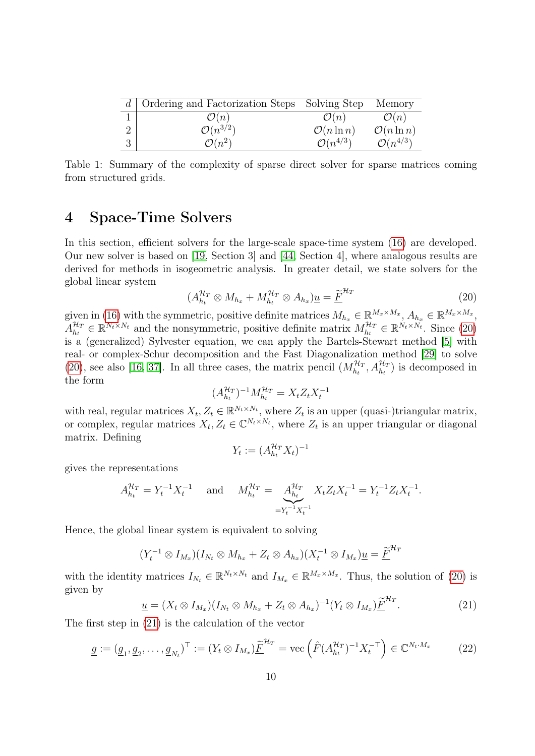| Ordering and Factorization Steps Solving Step |                        | Memory                 |
|-----------------------------------------------|------------------------|------------------------|
| $\mathcal{O}(n)$                              | $\mathcal{O}(n)$       | $\mathcal{O}(n)$       |
| $\mathcal{O}(n^{3/2})$                        | $\mathcal{O}(n \ln n)$ | $\mathcal{O}(n \ln n)$ |
| $\mathcal{O}(n^2)$                            | $\mathcal{O}(n^{4/3})$ | $\mathcal{O}(n^{4/3})$ |

<span id="page-9-1"></span>Table 1: Summary of the complexity of sparse direct solver for sparse matrices coming from structured grids.

# <span id="page-9-0"></span>4 Space-Time Solvers

In this section, efficient solvers for the large-scale space-time system [\(16\)](#page-6-1) are developed. Our new solver is based on [\[19,](#page-24-3) Section 3] and [\[44,](#page-26-9) Section 4], where analogous results are derived for methods in isogeometric analysis. In greater detail, we state solvers for the global linear system

<span id="page-9-2"></span>
$$
(A_{h_t}^{\mathcal{H}_T} \otimes M_{h_x} + M_{h_t}^{\mathcal{H}_T} \otimes A_{h_x}) \underline{u} = \underline{\widetilde{F}}^{\mathcal{H}_T} \tag{20}
$$

given in [\(16\)](#page-6-1) with the symmetric, positive definite matrices  $M_{h_x} \in \mathbb{R}^{M_x \times M_x}, A_{h_x} \in \mathbb{R}^{M_x \times M_x},$  $A_{h_+}^{\mathcal{H}_T}$  $\mathcal{H}_T^T \in \mathbb{R}^{N_t \times N_t}$  and the nonsymmetric, positive definite matrix  $M_{h_t}^{\mathcal{H}_T} \in \mathbb{R}^{N_t \times N_t}$ . Since [\(20\)](#page-9-2) is a (generalized) Sylvester equation, we can apply the Bartels-Stewart method [\[5\]](#page-23-5) with real- or complex-Schur decomposition and the Fast Diagonalization method [\[29\]](#page-25-7) to solve [\(20\)](#page-9-2), see also [\[16,](#page-24-6) [37\]](#page-25-8). In all three cases, the matrix pencil  $(M_{h_t}^{\mathcal{H}_T}, A_{h_t}^{\mathcal{H}_T})$  is decomposed in the form

$$
(A_{h_t}^{\mathcal{H}_T})^{-1} M_{h_t}^{\mathcal{H}_T} = X_t Z_t X_t^{-1}
$$

with real, regular matrices  $X_t, Z_t \in \mathbb{R}^{N_t \times N_t}$ , where  $Z_t$  is an upper (quasi-)triangular matrix, or complex, regular matrices  $X_t, Z_t \in \mathbb{C}^{N_t \times N_t}$ , where  $Z_t$  is an upper triangular or diagonal matrix. Defining −1

$$
Y_t := (A_{h_t}^{\mathcal{H}_T} X_t)^{-1}
$$

gives the representations

$$
A_{h_t}^{\mathcal{H}_T} = Y_t^{-1} X_t^{-1} \quad \text{and} \quad M_{h_t}^{\mathcal{H}_T} = \underbrace{A_{h_t}^{\mathcal{H}_T}}_{=Y_t^{-1} X_t^{-1}} X_t Z_t X_t^{-1} = Y_t^{-1} Z_t X_t^{-1}.
$$

Hence, the global linear system is equivalent to solving

$$
(Y_t^{-1} \otimes I_{M_x})(I_{N_t} \otimes M_{h_x} + Z_t \otimes A_{h_x})(X_t^{-1} \otimes I_{M_x})\underline{u} = \underline{\widetilde{F}}^{\mathcal{H}_T}
$$

with the identity matrices  $I_{N_t} \in \mathbb{R}^{N_t \times N_t}$  and  $I_{M_x} \in \mathbb{R}^{M_x \times M_x}$ . Thus, the solution of [\(20\)](#page-9-2) is given by  $\overline{u}$ 

<span id="page-9-3"></span>
$$
\underline{u} = (X_t \otimes I_{M_x})(I_{N_t} \otimes M_{h_x} + Z_t \otimes A_{h_x})^{-1}(Y_t \otimes I_{M_x})\underline{\widetilde{F}}^{\mathcal{H}_T}.
$$
\n(21)

The first step in [\(21\)](#page-9-3) is the calculation of the vector

<span id="page-9-4"></span>
$$
\underline{g} := (\underline{g}_1, \underline{g}_2, \dots, \underline{g}_{N_t})^\top := (Y_t \otimes I_{M_x}) \underline{\tilde{F}}^{\mathcal{H}_T} = \text{vec}\left(\hat{F}(A_{h_t}^{\mathcal{H}_T})^{-1} X_t^{-\top}\right) \in \mathbb{C}^{N_t \cdot M_x} \tag{22}
$$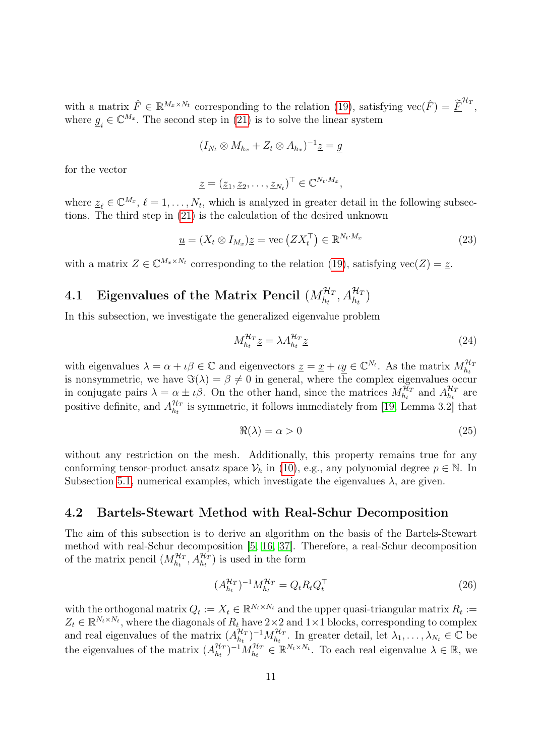with a matrix  $\hat{F} \in \mathbb{R}^{M_x \times N_t}$  corresponding to the relation [\(19\)](#page-8-1), satisfying  $\text{vec}(\hat{F}) = \underline{\tilde{F}}^{H_T}$ , where  $\underline{g}_i \in \mathbb{C}^{M_x}$ . The second step in [\(21\)](#page-9-3) is to solve the linear system

$$
(I_{N_t} \otimes M_{h_x} + Z_t \otimes A_{h_x})^{-1} \underline{z} = \underline{g}
$$

for the vector

$$
\underline{z} = (\underline{z}_1, \underline{z}_2, \dots, \underline{z}_{N_t})^\top \in \mathbb{C}^{N_t \cdot M_x},
$$

where  $\underline{z}_{\ell} \in \mathbb{C}^{M_x}, \ell = 1, \ldots, N_t$ , which is analyzed in greater detail in the following subsections. The third step in [\(21\)](#page-9-3) is the calculation of the desired unknown

<span id="page-10-1"></span>
$$
\underline{u} = (X_t \otimes I_{M_x})\underline{z} = \text{vec}\left(ZX_t^\top\right) \in \mathbb{R}^{N_t \cdot M_x} \tag{23}
$$

with a matrix  $Z \in \mathbb{C}^{M_x \times N_t}$  corresponding to the relation [\(19\)](#page-8-1), satisfying  $\text{vec}(Z) = \underline{z}$ .

# 4.1 Eigenvalues of the Matrix Pencil  $(M^{{\mathcal{H}}_T}_{h_t}, A^{{\mathcal{H}}_T}_{h_t})$

In this subsection, we investigate the generalized eigenvalue problem

<span id="page-10-3"></span>
$$
M_{h_t}^{\mathcal{H}_T} \underline{z} = \lambda A_{h_t}^{\mathcal{H}_T} \underline{z} \tag{24}
$$

with eigenvalues  $\lambda = \alpha + \iota \beta \in \mathbb{C}$  and eigenvectors  $\underline{z} = \underline{x} + \iota \underline{y} \in \mathbb{C}^{N_t}$ . As the matrix  $M_{h_t}^{\mathcal{H}_T}$  is nonsymmetric, we have  $\Im(\lambda) = \beta \neq 0$  in general, where the complex eigenvalues occur in conjugate pairs  $\lambda = \alpha \pm i\beta$ . On the other hand, since the matrices  $M_{h_t}^{\mathcal{H}_T}$  and  $A_{h_t}^{\mathcal{H}_T}$  $\frac{\mathcal{H}_T}{h_t}$  are positive definite, and  $A_{h}^{\mathcal{H}_T}$  $\frac{H_T}{h_t}$  is symmetric, it follows immediately from [\[19,](#page-24-3) Lemma 3.2] that

<span id="page-10-2"></span>
$$
\Re(\lambda) = \alpha > 0 \tag{25}
$$

without any restriction on the mesh. Additionally, this property remains true for any conforming tensor-product ansatz space  $\mathcal{V}_h$  in [\(10\)](#page-5-0), e.g., any polynomial degree  $p \in \mathbb{N}$ . In Subsection [5.1,](#page-19-0) numerical examples, which investigate the eigenvalues  $\lambda$ , are given.

## <span id="page-10-4"></span>4.2 Bartels-Stewart Method with Real-Schur Decomposition

The aim of this subsection is to derive an algorithm on the basis of the Bartels-Stewart method with real-Schur decomposition [\[5,](#page-23-5) [16,](#page-24-6) [37\]](#page-25-8). Therefore, a real-Schur decomposition of the matrix pencil  $(M_{h_t}^{\mathcal{H}_T}, A_{h_t}^{\mathcal{H}_T})$  is used in the form

<span id="page-10-0"></span>
$$
\left(A_{h_t}^{\mathcal{H}_T}\right)^{-1}M_{h_t}^{\mathcal{H}_T} = Q_t R_t Q_t^\top \tag{26}
$$

with the orthogonal matrix  $Q_t := X_t \in \mathbb{R}^{N_t \times N_t}$  and the upper quasi-triangular matrix  $R_t :=$  $Z_t \in \mathbb{R}^{N_t \times N_t}$ , where the diagonals of  $R_t$  have  $2 \times 2$  and  $1 \times 1$  blocks, corresponding to complex and real eigenvalues of the matrix  $(A_{h}^{\mathcal{H}_I})$  $\{H_T \atop h_t}$  –1 $M_{h_t}^{\mathcal{H}_T}$ . In greater detail, let  $\lambda_1, \ldots, \lambda_{N_t} \in \mathbb{C}$  be the eigenvalues of the matrix  $(A_{h}^{\mathcal{H}_T})$  ${}_{h_t}^{\mathcal{H}_T}$   ${}_{h_t}^{-1}$   $M_{h_t}^{\mathcal{H}_T}$   $\in \mathbb{R}^{N_t \times N_t}$ . To each real eigenvalue  $\lambda \in \mathbb{R}$ , we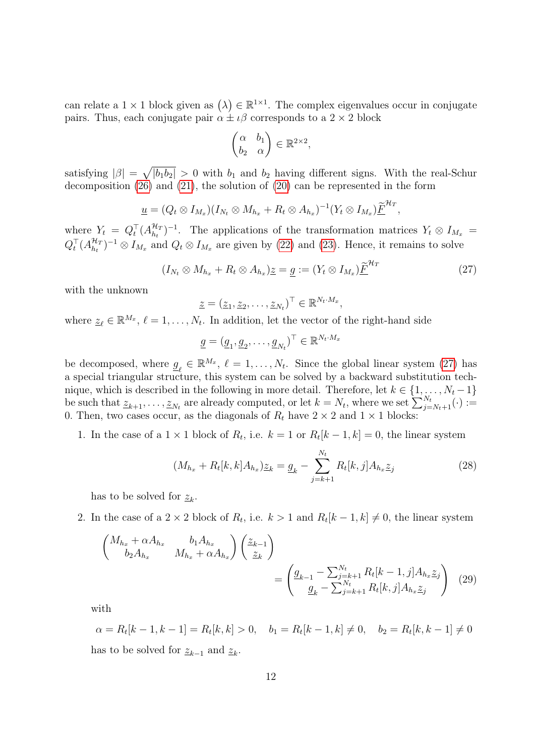can relate a  $1 \times 1$  block given as  $(\lambda) \in \mathbb{R}^{1 \times 1}$ . The complex eigenvalues occur in conjugate pairs. Thus, each conjugate pair  $\alpha \pm i\beta$  corresponds to a  $2 \times 2$  block

$$
\begin{pmatrix} \alpha & b_1 \\ b_2 & \alpha \end{pmatrix} \in \mathbb{R}^{2 \times 2},
$$

satisfying  $|\beta| = \sqrt{|b_1 b_2|} > 0$  with  $b_1$  and  $b_2$  having different signs. With the real-Schur decomposition [\(26\)](#page-10-0) and [\(21\)](#page-9-3), the solution of [\(20\)](#page-9-2) can be represented in the form

$$
\underline{u}=(Q_t\otimes I_{M_x})(I_{N_t}\otimes M_{h_x}+R_t\otimes A_{h_x})^{-1}(Y_t\otimes I_{M_x})\underline{\widetilde{F}}^{H_T},
$$

where  $Y_t = Q_t^{\top} (A_{h_t}^{\mathcal{H}_T})$  $\mathcal{H}_T^{H_T}$ )<sup>-1</sup>. The applications of the transformation matrices  $Y_t \otimes I_{M_x} =$  $Q_t^\top (A_{h_t}^{\mathcal{H}_T}$  $\frac{\mathcal{H}_T}{h_t}$ )<sup>-1</sup> ⊗  $I_{M_x}$  and  $Q_t \otimes I_{M_x}$  are given by [\(22\)](#page-9-4) and [\(23\)](#page-10-1). Hence, it remains to solve

<span id="page-11-0"></span>
$$
(I_{N_t} \otimes M_{h_x} + R_t \otimes A_{h_x})_{\underline{\mathcal{Z}}} = \underline{g} := (Y_t \otimes I_{M_x})_{\underline{\widetilde{F}}}^{\mathcal{H}_T}
$$
(27)

with the unknown

$$
\underline{z} = (\underline{z}_1, \underline{z}_2, \dots, \underline{z}_{N_t})^\top \in \mathbb{R}^{N_t \cdot M_x},
$$

where  $\underline{z}_{\ell} \in \mathbb{R}^{M_x}$ ,  $\ell = 1, \ldots, N_t$ . In addition, let the vector of the right-hand side

$$
\underline{g} = (\underline{g}_1, \underline{g}_2, \dots, \underline{g}_{N_t})^\top \in \mathbb{R}^{N_t \cdot M_x}
$$

be decomposed, where  $g_{\ell} \in \mathbb{R}^{M_x}$ ,  $\ell = 1, ..., N_t$ . Since the global linear system [\(27\)](#page-11-0) has a special triangular structure, this system can be solved by a backward substitution technique, which is described in the following in more detail. Therefore, let  $k \in \{1, \ldots, N_t-1\}$ be such that  $\underline{z}_{k+1}, \ldots, \underline{z}_{N_t}$  are already computed, or let  $k = N_t$ , where we set  $\sum_{j=N_t+1}^{N_t}(\cdot) :=$ 0. Then, two cases occur, as the diagonals of  $R_t$  have  $2 \times 2$  and  $1 \times 1$  blocks:

1. In the case of a  $1 \times 1$  block of  $R_t$ , i.e.  $k = 1$  or  $R_t[k-1,k] = 0$ , the linear system

<span id="page-11-2"></span><span id="page-11-1"></span>
$$
(M_{h_x} + R_t[k, k]A_{h_x})\underline{z}_k = \underline{g}_k - \sum_{j=k+1}^{N_t} R_t[k, j]A_{h_x}\underline{z}_j
$$
\n(28)

has to be solved for  $\underline{z}_k$ .

2. In the case of a  $2 \times 2$  block of  $R_t$ , i.e.  $k > 1$  and  $R_t[k-1,k] \neq 0$ , the linear system

$$
\begin{pmatrix}\nM_{h_x} + \alpha A_{h_x} & b_1 A_{h_x} \\
b_2 A_{h_x} & M_{h_x} + \alpha A_{h_x}\n\end{pmatrix}\n\begin{pmatrix}\n\frac{z_{k-1}}{z_k}\n\end{pmatrix}\n=\n\begin{pmatrix}\ng_{k-1} - \sum_{j=k+1}^{N_t} R_t[k-1,j]A_{h_x}\underline{z}_j \\
\frac{g_k}{z_k} - \sum_{j=k+1}^{N_t} R_t[k,j]A_{h_x}\underline{z}_j\n\end{pmatrix}
$$
\n(29)

with

 $\alpha = R_t[k-1, k-1] = R_t[k, k] > 0, \quad b_1 = R_t[k-1, k] \neq 0, \quad b_2 = R_t[k, k-1] \neq 0$ has to be solved for  $\underline{z}_{k-1}$  and  $\underline{z}_k$ .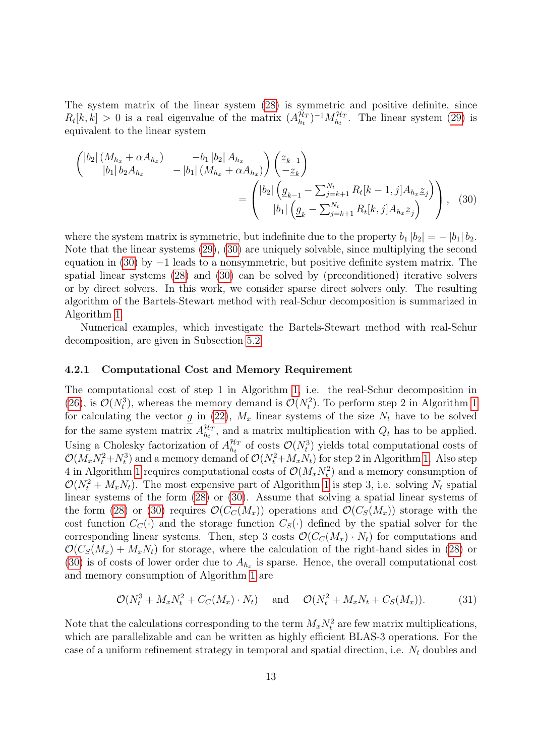The system matrix of the linear system [\(28\)](#page-11-1) is symmetric and positive definite, since  $R_t[k, k] > 0$  is a real eigenvalue of the matrix  $(A_{h_t}^{\mathcal{H}_T})$  $\binom{\mathcal{H}_T}{h_t}$ <sup>-1</sup> $M_{h_t}^{\mathcal{H}_T}$ . The linear system [\(29\)](#page-11-2) is equivalent to the linear system

<span id="page-12-0"></span>
$$
\begin{pmatrix}\n|b_2| \left(M_{h_x} + \alpha A_{h_x}\right) & -b_1 |b_2| A_{h_x} \\
|b_1 | b_2 A_{h_x} & -|b_1| \left(M_{h_x} + \alpha A_{h_x}\right)\right) \left(\frac{z_{k-1}}{z_k}\right) \\
= \begin{pmatrix}\n|b_2| \left(g_{k-1} - \sum_{j=k+1}^{N_t} R_t [k-1, j] A_{h_x} z_j\right) \\
|b_1| \left(g_k - \sum_{j=k+1}^{N_t} R_t [k, j] A_{h_x} z_j\right)\n\end{pmatrix}, \quad (30)
$$

where the system matrix is symmetric, but indefinite due to the property  $b_1 |b_2| = - |b_1| b_2$ . Note that the linear systems [\(29\)](#page-11-2), [\(30\)](#page-12-0) are uniquely solvable, since multiplying the second equation in  $(30)$  by  $-1$  leads to a nonsymmetric, but positive definite system matrix. The spatial linear systems [\(28\)](#page-11-1) and [\(30\)](#page-12-0) can be solved by (preconditioned) iterative solvers or by direct solvers. In this work, we consider sparse direct solvers only. The resulting algorithm of the Bartels-Stewart method with real-Schur decomposition is summarized in Algorithm [1.](#page-13-0)

Numerical examples, which investigate the Bartels-Stewart method with real-Schur decomposition, are given in Subsection [5.2.](#page-19-1)

#### 4.2.1 Computational Cost and Memory Requirement

The computational cost of step 1 in Algorithm [1,](#page-13-0) i.e. the real-Schur decomposition in [\(26\)](#page-10-0), is  $\mathcal{O}(N_t^3)$ , whereas the memory demand is  $\mathcal{O}(N_t^2)$ . To perform step 2 in Algorithm [1](#page-13-0) for calculating the vector g in [\(22\)](#page-9-4),  $M_x$  linear systems of the size  $N_t$  have to be solved for the same system matrix  $A_{h}^{\mathcal{H}_T}$  $\mathcal{H}_h^T$ , and a matrix multiplication with  $Q_t$  has to be applied. Using a Cholesky factorization of  $A_{h}^{\mathcal{H}_T}$  $\mathcal{H}_n$  of costs  $\mathcal{O}(N_t^3)$  yields total computational costs of  $\mathcal{O}(M_x N_t^2 + N_t^3)$  and a memory demand of  $\mathcal{O}(N_t^2 + M_x N_t)$  for step 2 in Algorithm [1.](#page-13-0) Also step 4 in Algorithm [1](#page-13-0) requires computational costs of  $\mathcal{O}(M_xN_t^2)$  and a memory consumption of  $\mathcal{O}(N_t^2 + M_x N_t)$ . The most expensive part of Algorithm [1](#page-13-0) is step 3, i.e. solving  $N_t$  spatial linear systems of the form [\(28\)](#page-11-1) or [\(30\)](#page-12-0). Assume that solving a spatial linear systems of the form [\(28\)](#page-11-1) or [\(30\)](#page-12-0) requires  $\mathcal{O}(C_{\mathcal{C}}(M_x))$  operations and  $\mathcal{O}(C_{\mathcal{S}}(M_x))$  storage with the cost function  $C_C(\cdot)$  and the storage function  $C_S(\cdot)$  defined by the spatial solver for the corresponding linear systems. Then, step 3 costs  $\mathcal{O}(C_c(M_x) \cdot N_t)$  for computations and  $\mathcal{O}(C_s(M_x) + M_x N_t)$  for storage, where the calculation of the right-hand sides in [\(28\)](#page-11-1) or [\(30\)](#page-12-0) is of costs of lower order due to  $A_{h_x}$  is sparse. Hence, the overall computational cost and memory consumption of Algorithm [1](#page-13-0) are

<span id="page-12-1"></span>
$$
\mathcal{O}(N_t^3 + M_x N_t^2 + C_C(M_x) \cdot N_t) \quad \text{and} \quad \mathcal{O}(N_t^2 + M_x N_t + C_S(M_x)). \tag{31}
$$

Note that the calculations corresponding to the term  $M_x N_t^2$  are few matrix multiplications, which are parallelizable and can be written as highly efficient BLAS-3 operations. For the case of a uniform refinement strategy in temporal and spatial direction, i.e.  $N_t$  doubles and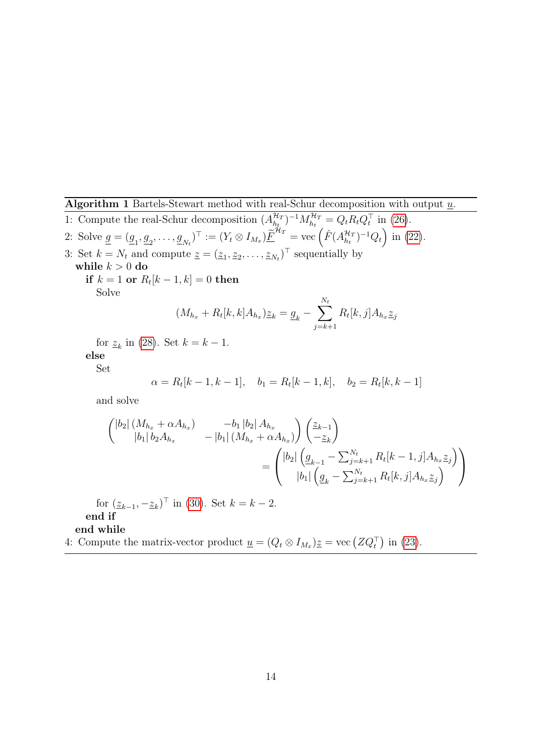<span id="page-13-0"></span>**Algorithm 1** Bartels-Stewart method with real-Schur decomposition with output  $\underline{u}$ .

1: Compute the real-Schur decomposition  $(A_{h}^{\mathcal{H}_I})$  $\binom{\mathcal{H}_T}{h_t}^{-1} M_{h_t}^{\mathcal{H}_T} = Q_t R_t Q_t^{\top}$  in [\(26\)](#page-10-0). 2: Solve  $\underline{g} = (\underline{g}_1, \underline{g}_2, \dots, \underline{g}_{N_t})^{\top} := (Y_t \otimes I_{M_x}) \underline{\widetilde{F}}^{\mathcal{H}_T} = \text{vec} \left( \hat{F}(A_{h_t}^{\mathcal{H}_T}) \right)$  $\binom{\mathcal{H}_T}{h_t}$ <sup>-1</sup> $Q_t$  in [\(22\)](#page-9-4). 3: Set  $k = N_t$  and compute  $\underline{z} = (\underline{z}_1, \underline{z}_2, \dots, \underline{z}_{N_t})^\top$  sequentially by while  $k > 0$  do  $\textbf{if}\,\,k=1\,\,\textbf{or}\,\,R_t[k-1,k]=0\,\,\textbf{then}$ Solve  $(M_{h_x} + R_t[k, k]A_{h_x})\underline{z}_k = \underline{g}_k - \sum$  $N_t$  $j=k+1$  $R_t[k, j]A_{h_x \underline{z}_j}$ for  $\underline{z}_k$  in [\(28\)](#page-11-1). Set  $k = k - 1$ . else Set  $\alpha = R_t[k-1, k-1], \quad b_1 = R_t[k-1, k], \quad b_2 = R_t[k, k-1]$ and solve  $\int |b_2| (M_{h_x} + \alpha A_{h_x})$   $-b_1 |b_2| A_{h_x}$  $|b_1| b_2 A_{h_x}$   $- |b_1| (M_{h_x} + \alpha A_{h_x})$  $\sum_{k-1}$  $-z_k$  $\setminus$ =  $\sqrt{ }$  $\overline{1}$  $|b_2| \left( \underline{g}_{k-1} - \sum_{j=k+1}^{N_t} R_t[k-1,j] A_{h_x} \underline{z}_j \right)$  $|b_1| \left( \underline{g}_k - \sum_{j=k+1}^{N_t} R_t[k,j] A_{h_x} \underline{z}_j \right)$ for  $(\underline{z}_{k-1}, -\underline{z}_k)^\top$  in [\(30\)](#page-12-0). Set  $k = k - 2$ . end if end while 4: Compute the matrix-vector product  $\underline{u} = (Q_t \otimes I_{M_x})\underline{z} = \text{vec} (ZQ_t^{\top})$  in [\(23\)](#page-10-1).

 $\setminus$ 

 $\overline{\phantom{a}}$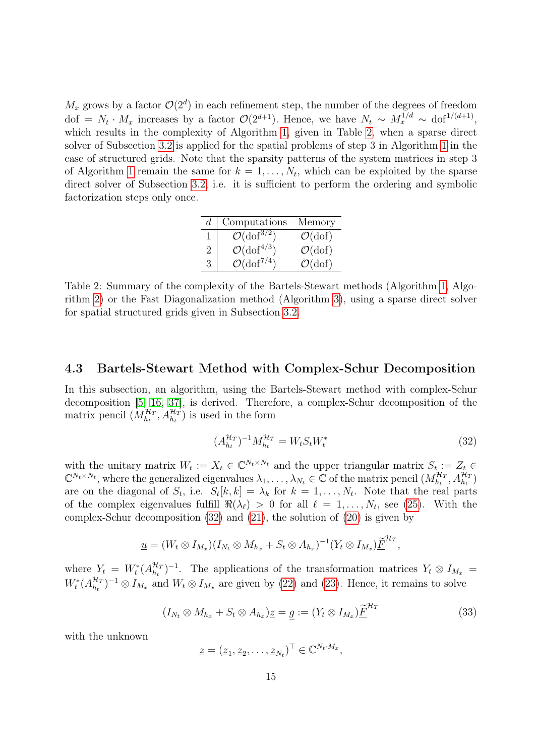$M_x$  grows by a factor  $\mathcal{O}(2^d)$  in each refinement step, the number of the degrees of freedom dof =  $N_t \cdot M_x$  increases by a factor  $\mathcal{O}(2^{d+1})$ . Hence, we have  $N_t \sim M_x^{1/d} \sim \text{dof}^{1/(d+1)}$ , which results in the complexity of Algorithm [1,](#page-13-0) given in Table [2,](#page-14-0) when a sparse direct solver of Subsection [3.2](#page-8-2) is applied for the spatial problems of step 3 in Algorithm [1](#page-13-0) in the case of structured grids. Note that the sparsity patterns of the system matrices in step 3 of Algorithm [1](#page-13-0) remain the same for  $k = 1, \ldots, N_t$ , which can be exploited by the sparse direct solver of Subsection [3.2,](#page-8-2) i.e. it is sufficient to perform the ordering and symbolic factorization steps only once.

| d. | Computations                    | Memory                    |
|----|---------------------------------|---------------------------|
|    | $\mathcal{O}(\text{dof}^{3/2})$ | $\mathcal{O}(\text{dof})$ |
| 2  | $\mathcal{O}(\text{dof}^{4/3})$ | $\mathcal{O}(\text{dof})$ |
| 3  | $\mathcal{O}(\text{dof}^{7/4})$ | $\mathcal{O}(\text{dof})$ |

<span id="page-14-0"></span>Table 2: Summary of the complexity of the Bartels-Stewart methods (Algorithm [1,](#page-13-0) Algorithm [2\)](#page-15-0) or the Fast Diagonalization method (Algorithm [3\)](#page-17-0), using a sparse direct solver for spatial structured grids given in Subsection [3.2.](#page-8-2)

## <span id="page-14-3"></span>4.3 Bartels-Stewart Method with Complex-Schur Decomposition

In this subsection, an algorithm, using the Bartels-Stewart method with complex-Schur decomposition [\[5,](#page-23-5) [16,](#page-24-6) [37\]](#page-25-8), is derived. Therefore, a complex-Schur decomposition of the matrix pencil  $(M_{h_t}^{\mathcal{H}_T}, A_{h_t}^{\mathcal{H}_T})$  is used in the form

<span id="page-14-1"></span>
$$
(A_{h_t}^{\mathcal{H}_T})^{-1} M_{h_t}^{\mathcal{H}_T} = W_t S_t W_t^* \tag{32}
$$

with the unitary matrix  $W_t := X_t \in \mathbb{C}^{N_t \times N_t}$  and the upper triangular matrix  $S_t := Z_t \in$  $\mathbb{C}^{N_t \times N_t}$ , where the generalized eigenvalues  $\lambda_1, \ldots, \lambda_{N_t} \in \mathbb{C}$  of the matrix pencil  $(M_{h_t}^{\mathcal{H}_T}, A_{h_t}^{\mathcal{H}_T})$ are on the diagonal of  $S_t$ , i.e.  $S_t[k,k] = \lambda_k$  for  $k = 1, \ldots, N_t$ . Note that the real parts of the complex eigenvalues fulfill  $\Re(\lambda_\ell) > 0$  for all  $\ell = 1, \ldots, N_t$ , see [\(25\)](#page-10-2). With the complex-Schur decomposition [\(32\)](#page-14-1) and [\(21\)](#page-9-3), the solution of [\(20\)](#page-9-2) is given by

$$
\underline{u}=(W_t\otimes I_{M_x})(I_{N_t}\otimes M_{h_x}+S_t\otimes A_{h_x})^{-1}(Y_t\otimes I_{M_x})\underline{\widetilde{F}}^{\mathcal{H}_T},
$$

where  $Y_t = W_t^*(A_{h_t}^{\mathcal{H}_T})$  $\mathcal{H}_T^{H_T}$ )<sup>-1</sup>. The applications of the transformation matrices  $Y_t \otimes I_{M_x} =$  $W_t^*(A_{h_t}^{\mathcal{H}_T})$  $\frac{\mathcal{H}_T}{h_t}$   $^{-1}$   $\otimes$   $I_{M_x}$  and  $W_t \otimes I_{M_x}$  are given by [\(22\)](#page-9-4) and [\(23\)](#page-10-1). Hence, it remains to solve

<span id="page-14-2"></span>
$$
(I_{N_t} \otimes M_{h_x} + S_t \otimes A_{h_x})_{\underline{\mathcal{Z}}} = \underline{g} := (Y_t \otimes I_{M_x})_{\underline{\mathcal{F}}}^{\mathcal{H}_T}
$$
(33)

with the unknown

$$
\underline{z} = (\underline{z}_1, \underline{z}_2, \dots, \underline{z}_{N_t})^\top \in \mathbb{C}^{N_t \cdot M_x},
$$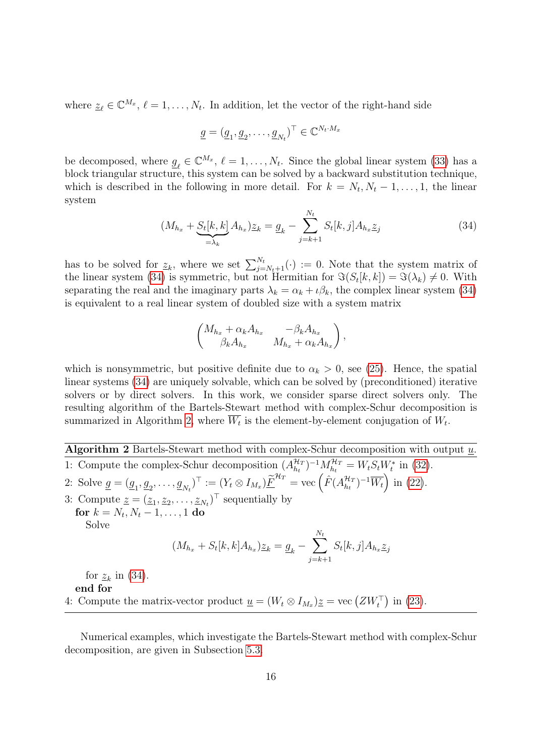where  $\underline{z}_{\ell} \in \mathbb{C}^{M_x}, \ell = 1, \ldots, N_t$ . In addition, let the vector of the right-hand side

$$
\underline{g} = (\underline{g}_1, \underline{g}_2, \dots, \underline{g}_{N_t})^{\top} \in \mathbb{C}^{N_t \cdot M_x}
$$

be decomposed, where  $g_{\ell} \in \mathbb{C}^{M_x}$ ,  $\ell = 1, \ldots, N_t$ . Since the global linear system [\(33\)](#page-14-2) has a block triangular structure, this system can be solved by a backward substitution technique, which is described in the following in more detail. For  $k = N_t, N_t - 1, \ldots, 1$ , the linear system

<span id="page-15-1"></span>
$$
(M_{h_x} + S_t[k, k] A_{h_x})\underline{z}_k = \underline{g}_k - \sum_{j=k+1}^{N_t} S_t[k, j] A_{h_x} \underline{z}_j
$$
(34)

has to be solved for  $\underline{z}_k$ , where we set  $\sum_{j=N_t+1}^{N_t}(\cdot) := 0$ . Note that the system matrix of the linear system [\(34\)](#page-15-1) is symmetric, but not Hermitian for  $\Im(S_t[k, k]) = \Im(\lambda_k) \neq 0$ . With separating the real and the imaginary parts  $\lambda_k = \alpha_k + \iota \beta_k$ , the complex linear system [\(34\)](#page-15-1) is equivalent to a real linear system of doubled size with a system matrix

$$
\begin{pmatrix} M_{h_x} + \alpha_k A_{h_x} & -\beta_k A_{h_x} \\ \beta_k A_{h_x} & M_{h_x} + \alpha_k A_{h_x} \end{pmatrix},
$$

which is nonsymmetric, but positive definite due to  $\alpha_k > 0$ , see [\(25\)](#page-10-2). Hence, the spatial linear systems [\(34\)](#page-15-1) are uniquely solvable, which can be solved by (preconditioned) iterative solvers or by direct solvers. In this work, we consider sparse direct solvers only. The resulting algorithm of the Bartels-Stewart method with complex-Schur decomposition is summarized in Algorithm [2,](#page-15-0) where  $W_t$  is the element-by-element conjugation of  $W_t$ .

<span id="page-15-0"></span>Algorithm 2 Bartels-Stewart method with complex-Schur decomposition with output  $\underline{u}$ . 1: Compute the complex-Schur decomposition  $(A_{h}^{\mathcal{H}_T})$  $\binom{\mathcal{H}_T}{h_t}^{-1} M_{h_t}^{\mathcal{H}_T} = W_t S_t W_t^*$  in [\(32\)](#page-14-1).

2: Solve 
$$
\underline{g} = (\underline{g}_1, \underline{g}_2, \dots, \underline{g}_{N_t})^\top := (Y_t \otimes I_{M_x}) \underline{\widetilde{F}}^{\mathcal{H}_T} = \text{vec}\left(\hat{F}(A_{h_t}^{\mathcal{H}_T})^{-1} \overline{W}_t\right)
$$
 in (22).  
\n3: Compute  $\underline{z} = (\underline{z}_1, \underline{z}_2, \dots, \underline{z}_{N_t})^\top$  sequentially by  
\n**for**  $k = N_t, N_t - 1, \dots, 1$  **do**  
\nSolve  
\n
$$
(M_{h_x} + S_t[k, k]A_{h_x})\underline{z}_k = \underline{g}_k - \sum_{j=k+1}^{N_t} S_t[k, j]A_{h_x}\underline{z}_j
$$
\nfor  $\underline{z}_k$  in (34).

end for 4: Compute the matrix-vector product  $\underline{u} = (W_t \otimes I_{M_x})\underline{z} = \text{vec}(ZW_t^{\top})$  in [\(23\)](#page-10-1).

Numerical examples, which investigate the Bartels-Stewart method with complex-Schur decomposition, are given in Subsection [5.3.](#page-21-0)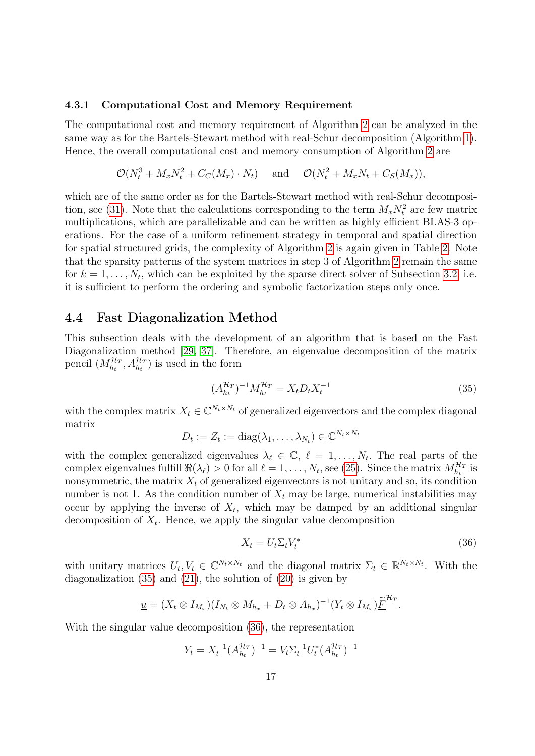#### 4.3.1 Computational Cost and Memory Requirement

The computational cost and memory requirement of Algorithm [2](#page-15-0) can be analyzed in the same way as for the Bartels-Stewart method with real-Schur decomposition (Algorithm [1\)](#page-13-0). Hence, the overall computational cost and memory consumption of Algorithm [2](#page-15-0) are

$$
\mathcal{O}(N_t^3 + M_x N_t^2 + C_C(M_x) \cdot N_t) \quad \text{and} \quad \mathcal{O}(N_t^2 + M_x N_t + C_S(M_x)),
$$

which are of the same order as for the Bartels-Stewart method with real-Schur decomposi-tion, see [\(31\)](#page-12-1). Note that the calculations corresponding to the term  $M_x N_t^2$  are few matrix multiplications, which are parallelizable and can be written as highly efficient BLAS-3 operations. For the case of a uniform refinement strategy in temporal and spatial direction for spatial structured grids, the complexity of Algorithm [2](#page-15-0) is again given in Table [2.](#page-14-0) Note that the sparsity patterns of the system matrices in step 3 of Algorithm [2](#page-15-0) remain the same for  $k = 1, \ldots, N_t$ , which can be exploited by the sparse direct solver of Subsection [3.2,](#page-8-2) i.e. it is sufficient to perform the ordering and symbolic factorization steps only once.

### <span id="page-16-2"></span>4.4 Fast Diagonalization Method

This subsection deals with the development of an algorithm that is based on the Fast Diagonalization method [\[29,](#page-25-7) [37\]](#page-25-8). Therefore, an eigenvalue decomposition of the matrix pencil  $(M_{h_t}^{\mathcal{H}_T}, A_{h_t}^{\mathcal{H}_T})$  is used in the form

<span id="page-16-0"></span>
$$
(A_{h_t}^{\mathcal{H}_T})^{-1} M_{h_t}^{\mathcal{H}_T} = X_t D_t X_t^{-1}
$$
\n(35)

with the complex matrix  $X_t \in \mathbb{C}^{N_t \times N_t}$  of generalized eigenvectors and the complex diagonal matrix

$$
D_t := Z_t := \mathrm{diag}(\lambda_1, \dots, \lambda_{N_t}) \in \mathbb{C}^{N_t \times N_t}
$$

with the complex generalized eigenvalues  $\lambda_{\ell} \in \mathbb{C}, \ell = 1, \ldots, N_t$ . The real parts of the complex eigenvalues fulfill  $\Re(\lambda_\ell) > 0$  for all  $\ell = 1, \ldots, N_t$ , see [\(25\)](#page-10-2). Since the matrix  $M_{h_t}^{\mathcal{H}_T}$  is nonsymmetric, the matrix  $X_t$  of generalized eigenvectors is not unitary and so, its condition number is not 1. As the condition number of  $X_t$  may be large, numerical instabilities may occur by applying the inverse of  $X_t$ , which may be damped by an additional singular decomposition of  $X_t$ . Hence, we apply the singular value decomposition

<span id="page-16-1"></span>
$$
X_t = U_t \Sigma_t V_t^* \tag{36}
$$

with unitary matrices  $U_t, V_t \in \mathbb{C}^{N_t \times N_t}$  and the diagonal matrix  $\Sigma_t \in \mathbb{R}^{N_t \times N_t}$ . With the diagonalization  $(35)$  and  $(21)$ , the solution of  $(20)$  is given by

$$
\underline{u}=(X_t\otimes I_{M_x})(I_{N_t}\otimes M_{h_x}+D_t\otimes A_{h_x})^{-1}(Y_t\otimes I_{M_x})\underline{\widetilde{F}}^{\mathcal{H}_T}.
$$

With the singular value decomposition [\(36\)](#page-16-1), the representation

$$
Y_t = X_t^{-1} (A_{h_t}^{\mathcal{H}_T})^{-1} = V_t \Sigma_t^{-1} U_t^* (A_{h_t}^{\mathcal{H}_T})^{-1}
$$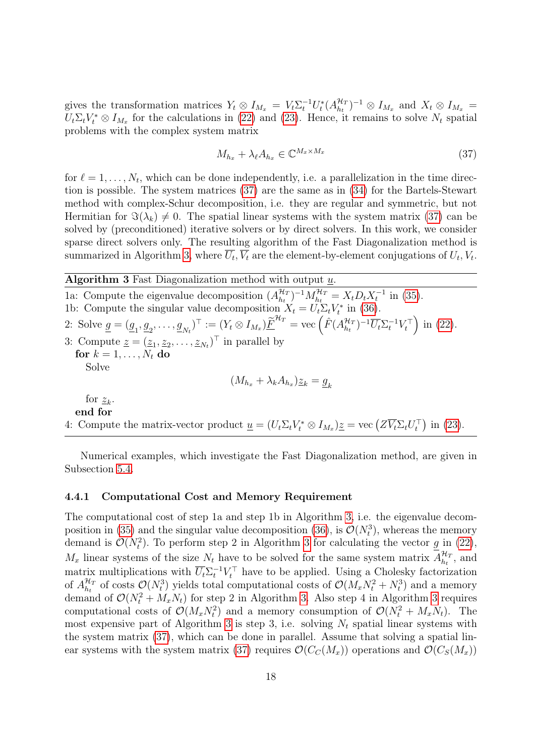gives the transformation matrices  $Y_t \otimes I_{M_x} = V_t \Sigma_t^{-1} U_t^* (A_{h_t}^{\mathcal{H}_T})$  $({\mathcal H_T \over \hbar_t})^{-1} \otimes I_{M_x}$  and  $X_t \otimes I_{M_x} =$  $U_t \Sigma_t V_t^* \otimes I_{M_x}$  for the calculations in [\(22\)](#page-9-4) and [\(23\)](#page-10-1). Hence, it remains to solve  $N_t$  spatial problems with the complex system matrix

<span id="page-17-1"></span>
$$
M_{h_x} + \lambda_\ell A_{h_x} \in \mathbb{C}^{M_x \times M_x} \tag{37}
$$

for  $\ell = 1, \ldots, N_t$ , which can be done independently, i.e. a parallelization in the time direction is possible. The system matrices [\(37\)](#page-17-1) are the same as in [\(34\)](#page-15-1) for the Bartels-Stewart method with complex-Schur decomposition, i.e. they are regular and symmetric, but not Hermitian for  $\Im(\lambda_k) \neq 0$ . The spatial linear systems with the system matrix [\(37\)](#page-17-1) can be solved by (preconditioned) iterative solvers or by direct solvers. In this work, we consider sparse direct solvers only. The resulting algorithm of the Fast Diagonalization method is summarized in Algorithm [3,](#page-17-0) where  $U_t$ ,  $V_t$  are the element-by-element conjugations of  $U_t$ ,  $V_t$ .

# <span id="page-17-0"></span>Algorithm 3 Fast Diagonalization method with output  $\underline{u}$ .

1a: Compute the eigenvalue decomposition  $(A_{h}^{\mathcal{H}_{I}})$  $\mathcal{H}_{h_t}^{H_T}$ )<sup>-1</sup> $M_{h_t}^{\mathcal{H}_T} = X_t D_t X_t^{-1}$  in [\(35\)](#page-16-0). 1b: Compute the singular value decomposition  $X_t = U_t \Sigma_t V_t^*$  in [\(36\)](#page-16-1). 2: Solve  $\underline{g} = (\underline{g}_1, \underline{g}_2, \dots, \underline{g}_{N_t})^{\top} := (Y_t \otimes I_{M_x}) \underline{\widetilde{F}}^{\mathcal{H}_T} = \text{vec} \left( \hat{F}(A_{h_t}^{\mathcal{H}_T}) \right)$  $\left(\frac{\mathcal{H}_T}{h_t}\right)^{-1} \overline{U_t} \Sigma_t^{-1} V_t^{\top}$  in [\(22\)](#page-9-4). 3: Compute  $\underline{z} = (\underline{z}_1, \underline{z}_2, \dots, \underline{z}_{N_t})^\top$  in parallel by for  $k = 1, \ldots, N_t$  do Solve  $(M_{h_x} + \lambda_k A_{h_x}) \underline{z}_k = \underline{g}_k$ for  $z_k$ . end for 4: Compute the matrix-vector product  $\underline{u} = (U_t \Sigma_t V_t^* \otimes I_{M_x}) \underline{z} = \text{vec} (Z \overline{V_t} \Sigma_t U_t^{\top})$  in [\(23\)](#page-10-1).

Numerical examples, which investigate the Fast Diagonalization method, are given in Subsection [5.4.](#page-21-1)

### 4.4.1 Computational Cost and Memory Requirement

The computational cost of step 1a and step 1b in Algorithm [3,](#page-17-0) i.e. the eigenvalue decom-position in [\(35\)](#page-16-0) and the singular value decomposition [\(36\)](#page-16-1), is  $\mathcal{O}(N_t^3)$ , whereas the memory demand is  $\mathcal{O}(N_t^2)$ . To perform step 2 in Algorithm [3](#page-17-0) for calculating the vector  $g$  in [\(22\)](#page-9-4),  $M_x$  linear systems of the size  $N_t$  have to be solved for the same system matrix  $A_{h_t}^{\mathcal{H}_I}$  $\frac{\mathcal{H}_T}{h_t}$ , and matrix multiplications with  $\overline{U_t} \Sigma_t^{-1} V_t^{\top}$  have to be applied. Using a Cholesky factorization of  $A_{h_t}^{\mathcal{H}_T}$  $\mathcal{H}_T$  of costs  $\mathcal{O}(N_t^3)$  yields total computational costs of  $\mathcal{O}(M_x N_t^2 + N_t^3)$  and a memory demand of  $\mathcal{O}(N_t^2 + M_x N_t)$  for step 2 in Algorithm [3.](#page-17-0) Also step 4 in Algorithm [3](#page-17-0) requires computational costs of  $\mathcal{O}(M_x N_t^2)$  and a memory consumption of  $\mathcal{O}(N_t^2 + M_x N_t)$ . The most expensive part of Algorithm [3](#page-17-0) is step 3, i.e. solving  $N_t$  spatial linear systems with the system matrix [\(37\)](#page-17-1), which can be done in parallel. Assume that solving a spatial lin-ear systems with the system matrix [\(37\)](#page-17-1) requires  $\mathcal{O}(C_c(M_x))$  operations and  $\mathcal{O}(C_s(M_x))$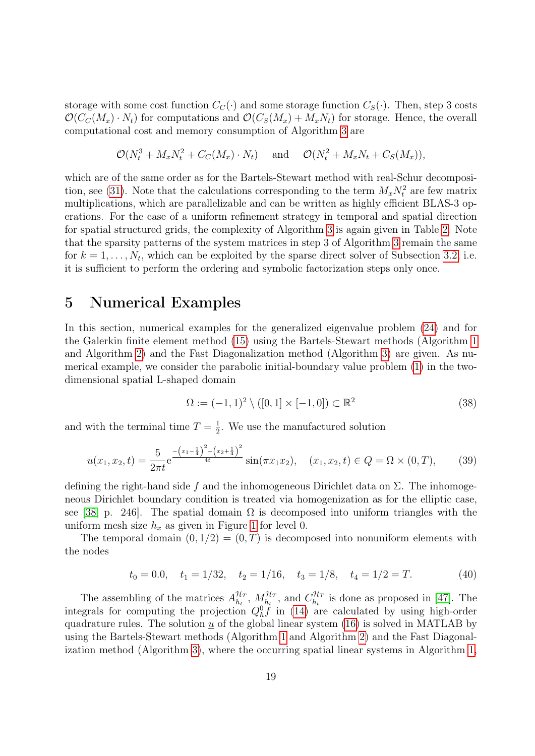storage with some cost function  $C_C(\cdot)$  and some storage function  $C_S(\cdot)$ . Then, step 3 costs  $\mathcal{O}(C_{\mathcal{C}}(M_x) \cdot N_t)$  for computations and  $\mathcal{O}(C_{\mathcal{S}}(M_x) + M_xN_t)$  for storage. Hence, the overall computational cost and memory consumption of Algorithm [3](#page-17-0) are

$$
\mathcal{O}(N_t^3 + M_x N_t^2 + C_C(M_x) \cdot N_t) \quad \text{and} \quad \mathcal{O}(N_t^2 + M_x N_t + C_S(M_x)),
$$

which are of the same order as for the Bartels-Stewart method with real-Schur decomposi-tion, see [\(31\)](#page-12-1). Note that the calculations corresponding to the term  $M_x N_t^2$  are few matrix multiplications, which are parallelizable and can be written as highly efficient BLAS-3 operations. For the case of a uniform refinement strategy in temporal and spatial direction for spatial structured grids, the complexity of Algorithm [3](#page-17-0) is again given in Table [2.](#page-14-0) Note that the sparsity patterns of the system matrices in step 3 of Algorithm [3](#page-17-0) remain the same for  $k = 1, \ldots, N_t$ , which can be exploited by the sparse direct solver of Subsection [3.2,](#page-8-2) i.e. it is sufficient to perform the ordering and symbolic factorization steps only once.

# <span id="page-18-0"></span>5 Numerical Examples

In this section, numerical examples for the generalized eigenvalue problem [\(24\)](#page-10-3) and for the Galerkin finite element method [\(15\)](#page-6-0) using the Bartels-Stewart methods (Algorithm [1](#page-13-0) and Algorithm [2\)](#page-15-0) and the Fast Diagonalization method (Algorithm [3\)](#page-17-0) are given. As numerical example, we consider the parabolic initial-boundary value problem [\(1\)](#page-1-1) in the twodimensional spatial L-shaped domain

<span id="page-18-3"></span>
$$
\Omega := (-1,1)^2 \setminus ([0,1] \times [-1,0]) \subset \mathbb{R}^2
$$
\n(38)

and with the terminal time  $T=\frac{1}{2}$  $\frac{1}{2}$ . We use the manufactured solution

<span id="page-18-2"></span>
$$
u(x_1, x_2, t) = \frac{5}{2\pi t} e^{-\frac{(x_1 - \frac{1}{4})^2 - (x_2 + \frac{1}{4})^2}{4t}} \sin(\pi x_1 x_2), \quad (x_1, x_2, t) \in Q = \Omega \times (0, T), \quad (39)
$$

defining the right-hand side f and the inhomogeneous Dirichlet data on  $\Sigma$ . The inhomogeneous Dirichlet boundary condition is treated via homogenization as for the elliptic case, see [\[38,](#page-25-11) p. 246]. The spatial domain  $\Omega$  is decomposed into uniform triangles with the uniform mesh size  $h_x$  as given in Figure [1](#page-19-2) for level 0.

The temporal domain  $(0, 1/2) = (0, T)$  is decomposed into nonuniform elements with the nodes

<span id="page-18-1"></span>
$$
t_0 = 0.0
$$
,  $t_1 = 1/32$ ,  $t_2 = 1/16$ ,  $t_3 = 1/8$ ,  $t_4 = 1/2 = T$ . (40)

The assembling of the matrices  $A_{h}^{\mathcal{H}_T}$  $\frac{\mathcal{H}_T}{h_t}, M^{\mathcal{H}_T}_{h_t}, \text{ and } C^{\mathcal{H}_T}_{h_t}$  $\frac{\partial H_T}{\partial h_t}$  is done as proposed in [\[47\]](#page-26-8). The integrals for computing the projection  $Q_h^0 \dot{f}$  in [\(14\)](#page-6-2) are calculated by using high-order quadrature rules. The solution  $u$  of the global linear system  $(16)$  is solved in MATLAB by using the Bartels-Stewart methods (Algorithm [1](#page-13-0) and Algorithm [2\)](#page-15-0) and the Fast Diagonalization method (Algorithm [3\)](#page-17-0), where the occurring spatial linear systems in Algorithm [1,](#page-13-0)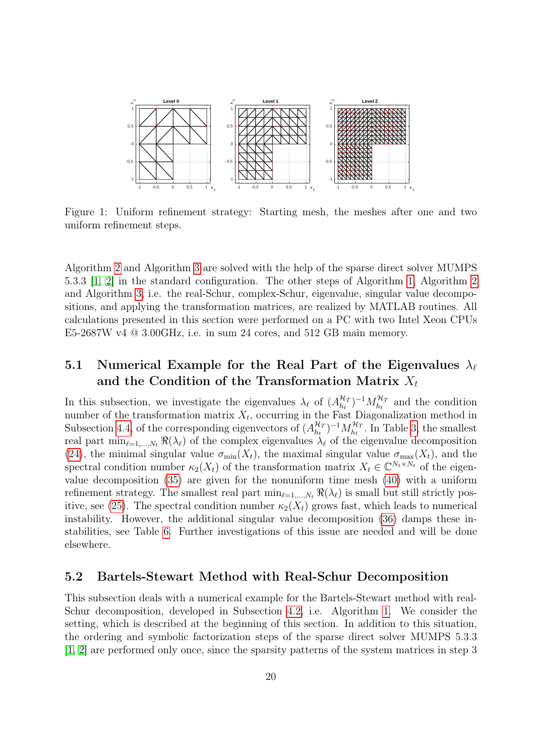

<span id="page-19-2"></span>Figure 1: Uniform refinement strategy: Starting mesh, the meshes after one and two uniform refinement steps.

Algorithm [2](#page-15-0) and Algorithm [3](#page-17-0) are solved with the help of the sparse direct solver MUMPS 5.3.3 [\[1,](#page-23-8) [2\]](#page-23-9) in the standard configuration. The other steps of Algorithm [1,](#page-13-0) Algorithm [2](#page-15-0) and Algorithm [3,](#page-17-0) i.e. the real-Schur, complex-Schur, eigenvalue, singular value decompositions, and applying the transformation matrices, are realized by MATLAB routines. All calculations presented in this section were performed on a PC with two Intel Xeon CPUs E5-2687W v4 @ 3.00GHz, i.e. in sum 24 cores, and 512 GB main memory.

## <span id="page-19-0"></span>5.1 Numerical Example for the Real Part of the Eigenvalues  $\lambda_{\ell}$ and the Condition of the Transformation Matrix  $X_t$

In this subsection, we investigate the eigenvalues  $\lambda_{\ell}$  of  $(A^{\mathcal{H}_{I}}_{h_{I}})$  $\binom{\mathcal{H}_T}{h_t}$ <sup>-1</sup> $M_{h_t}^{\mathcal{H}_T}$  and the condition number of the transformation matrix  $X_t$ , occurring in the Fast Diagonalization method in Subsection [4.4,](#page-16-2) of the corresponding eigenvectors of  $(A_{h_t}^{\mathcal{H}_T})$  $\binom{\mathcal{H}_T}{h_t}$ <sup>-1</sup> $M_{h_t}^{\mathcal{H}_T}$ . In Table [3,](#page-20-0) the smallest real part  $\min_{\ell=1,\ldots,N_t} \Re(\lambda_\ell)$  of the complex eigenvalues  $\lambda_\ell$  of the eigenvalue decomposition [\(24\)](#page-10-3), the minimal singular value  $\sigma_{min}(X_t)$ , the maximal singular value  $\sigma_{max}(X_t)$ , and the spectral condition number  $\kappa_2(X_t)$  of the transformation matrix  $X_t \in \mathbb{C}^{N_t \times N_t}$  of the eigenvalue decomposition [\(35\)](#page-16-0) are given for the nonuniform time mesh [\(40\)](#page-18-1) with a uniform refinement strategy. The smallest real part  $\min_{\ell=1,\dots,N_t} \Re(\lambda_\ell)$  is small but still strictly pos-itive, see [\(25\)](#page-10-2). The spectral condition number  $\kappa_2(X_t)$  grows fast, which leads to numerical instability. However, the additional singular value decomposition [\(36\)](#page-16-1) damps these instabilities, see Table [6.](#page-22-1) Further investigations of this issue are needed and will be done elsewhere.

## <span id="page-19-1"></span>5.2 Bartels-Stewart Method with Real-Schur Decomposition

This subsection deals with a numerical example for the Bartels-Stewart method with real-Schur decomposition, developed in Subsection [4.2,](#page-10-4) i.e. Algorithm [1.](#page-13-0) We consider the setting, which is described at the beginning of this section. In addition to this situation, the ordering and symbolic factorization steps of the sparse direct solver MUMPS 5.3.3 [\[1,](#page-23-8) [2\]](#page-23-9) are performed only once, since the sparsity patterns of the system matrices in step 3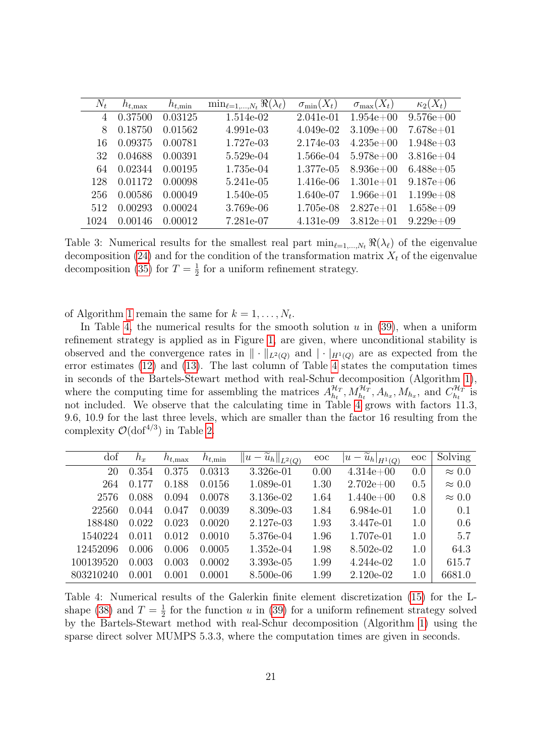| $N_t$ | $h_{t,\text{max}}$ | $h_{t,\min}$ | $\min_{\ell=1,,N_t} \Re(\lambda_\ell)$ | $\sigma_{\min}(X_t)$ | $\sigma_{\max}(X_t)$ | $\kappa_2(X_t)$ |
|-------|--------------------|--------------|----------------------------------------|----------------------|----------------------|-----------------|
| 4     | 0.37500            | 0.03125      | 1.514e-02                              | 2.041e-01            | $1.954e + 00$        | $9.576e + 00$   |
| 8     | 0.18750            | 0.01562      | 4.991e-03                              | $4.049e-02$          | $3.109e + 00$        | $7.678e + 01$   |
| 16    | 0.09375            | 0.00781      | 1.727e-03                              | 2.174e-03            | $4.235e+00$          | $1.948e+03$     |
| 32    | 0.04688            | 0.00391      | 5.529e-04                              | 1.566e-04            | $5.978e+00$          | $3.816e + 04$   |
| 64    | 0.02344            | 0.00195      | 1.735e-04                              | 1.377e-05            | $8.936e + 00$        | $6.488e+05$     |
| 128   | 0.01172            | 0.00098      | 5.241e-05                              | 1.416e-06            | $1.301e + 01$        | $9.187e+06$     |
| 256   | 0.00586            | 0.00049      | 1.540e-05                              | 1.640e-07            | $1.966e + 01$        | $1.199e+08$     |
| 512   | 0.00293            | 0.00024      | 3.769e-06                              | 1.705e-08            | $2.827e+01$          | $1.658e+09$     |
| 1024  | 0.00146            | 0.00012      | 7.281e-07                              | 4.131e-09            | $3.812e+01$          | $9.229e+09$     |

<span id="page-20-0"></span>Table 3: Numerical results for the smallest real part  $\min_{\ell=1,\ldots,N_t} \Re(\lambda_\ell)$  of the eigenvalue decomposition [\(24\)](#page-10-3) and for the condition of the transformation matrix  $X_t$  of the eigenvalue decomposition [\(35\)](#page-16-0) for  $T=\frac{1}{2}$  $\frac{1}{2}$  for a uniform refinement strategy.

of Algorithm [1](#page-13-0) remain the same for  $k = 1, \ldots, N_t$ .

In Table [4,](#page-20-1) the numerical results for the smooth solution  $u$  in  $(39)$ , when a uniform refinement strategy is applied as in Figure [1,](#page-19-2) are given, where unconditional stability is observed and the convergence rates in  $\|\cdot\|_{L^2(Q)}$  and  $|\cdot|_{H^1(Q)}$  are as expected from the error estimates [\(12\)](#page-5-4) and [\(13\)](#page-5-2). The last column of Table [4](#page-20-1) states the computation times in seconds of the Bartels-Stewart method with real-Schur decomposition (Algorithm [1\)](#page-13-0), where the computing time for assembling the matrices  $A_{h}^{\mathcal{H}_{I}}$  $\mathcal{H}_1^{\mathcal{H}}$ ,  $M_{h_t}^{\mathcal{H}_T}$ ,  $A_{h_x}$ ,  $M_{h_x}$ , and  $C_{h_t}^{\mathcal{H}_T}$  $\frac{1}{h_t}$  is not included. We observe that the calculating time in Table [4](#page-20-1) grows with factors 11.3, 9.6, 10.9 for the last three levels, which are smaller than the factor 16 resulting from the complexity  $\mathcal{O}(\text{dof}^{4/3})$  in Table [2.](#page-14-0)

| dof       | $h_x$ | $h_{t,\text{max}}$ | $h_{t,\min}$ | $\widetilde{u}_h\ _{L^2(Q)}$<br> u <br>$\overline{\phantom{a}}$ | eoc  | $\widetilde{u}_h _{H^1(Q)}$<br>$u -$ | eoc | Solving       |
|-----------|-------|--------------------|--------------|-----------------------------------------------------------------|------|--------------------------------------|-----|---------------|
| 20        | 0.354 | 0.375              | 0.0313       | 3.326e-01                                                       | 0.00 | $4.314e+00$                          | 0.0 | $\approx 0.0$ |
| 264       | 0.177 | 0.188              | 0.0156       | 1.089e-01                                                       | 1.30 | $2.702e+00$                          | 0.5 | $\approx 0.0$ |
| 2576      | 0.088 | 0.094              | 0.0078       | 3.136e-02                                                       | 1.64 | $1.440e + 00$                        | 0.8 | $\approx 0.0$ |
| 22560     | 0.044 | 0.047              | 0.0039       | 8.309e-03                                                       | 1.84 | 6.984e-01                            | 1.0 | 0.1           |
| 188480    | 0.022 | 0.023              | 0.0020       | 2.127e-03                                                       | 1.93 | 3.447e-01                            | 1.0 | 0.6           |
| 1540224   | 0.011 | 0.012              | 0.0010       | 5.376e-04                                                       | 1.96 | 1.707e-01                            | 1.0 | 5.7           |
| 12452096  | 0.006 | 0.006              | 0.0005       | $1.352e-04$                                                     | 1.98 | 8.502e-02                            | 1.0 | 64.3          |
| 100139520 | 0.003 | 0.003              | 0.0002       | 3.393e-05                                                       | 1.99 | 4.244e-02                            | 1.0 | 615.7         |
| 803210240 | 0.001 | 0.001              | 0.0001       | 8.500e-06                                                       | 1.99 | 2.120e-02                            | 1.0 | 6681.0        |

<span id="page-20-1"></span>Table 4: Numerical results of the Galerkin finite element discretization [\(15\)](#page-6-0) for the L-shape [\(38\)](#page-18-3) and  $T=\frac{1}{2}$  $\frac{1}{2}$  for the function u in [\(39\)](#page-18-2) for a uniform refinement strategy solved by the Bartels-Stewart method with real-Schur decomposition (Algorithm [1\)](#page-13-0) using the sparse direct solver MUMPS 5.3.3, where the computation times are given in seconds.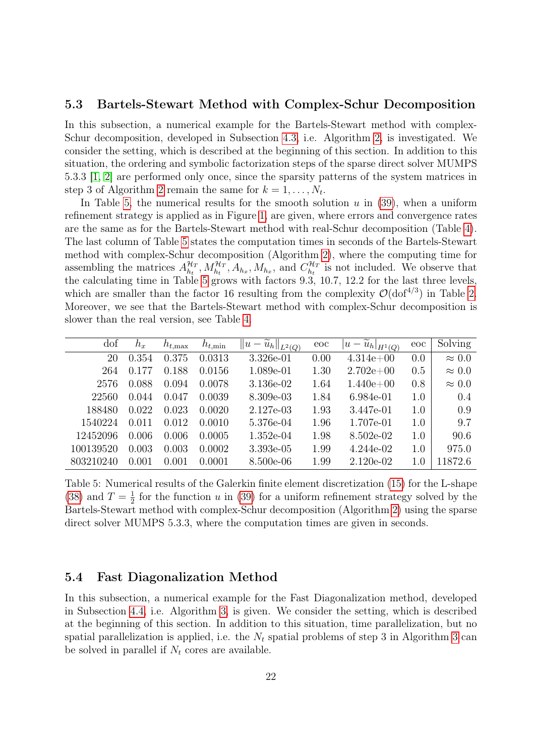## <span id="page-21-0"></span>5.3 Bartels-Stewart Method with Complex-Schur Decomposition

In this subsection, a numerical example for the Bartels-Stewart method with complex-Schur decomposition, developed in Subsection [4.3,](#page-14-3) i.e. Algorithm [2,](#page-15-0) is investigated. We consider the setting, which is described at the beginning of this section. In addition to this situation, the ordering and symbolic factorization steps of the sparse direct solver MUMPS 5.3.3 [\[1,](#page-23-8) [2\]](#page-23-9) are performed only once, since the sparsity patterns of the system matrices in step 3 of Algorithm [2](#page-15-0) remain the same for  $k = 1, \ldots, N_t$ .

In Table [5,](#page-21-2) the numerical results for the smooth solution  $u$  in [\(39\)](#page-18-2), when a uniform refinement strategy is applied as in Figure [1,](#page-19-2) are given, where errors and convergence rates are the same as for the Bartels-Stewart method with real-Schur decomposition (Table [4\)](#page-20-1). The last column of Table [5](#page-21-2) states the computation times in seconds of the Bartels-Stewart method with complex-Schur decomposition (Algorithm [2\)](#page-15-0), where the computing time for assembling the matrices  $A_{h_t}^{\mathcal{H}_T}$  $\frac{\mathcal{H}_T}{h_t}, M_{h_t}^{\mathcal{H}_T}, A_{h_x}, M_{h_x}$ , and  $C_{h_t}^{\mathcal{H}_T}$  $\hat{h}^{HT}_{t}$  is not included. We observe that the calculating time in Table [5](#page-21-2) grows with factors 9.3, 10.7, 12.2 for the last three levels, which are smaller than the factor 16 resulting from the complexity  $\mathcal{O}(\text{dof}^{4/3})$  in Table [2.](#page-14-0) Moreover, we see that the Bartels-Stewart method with complex-Schur decomposition is slower than the real version, see Table [4.](#page-20-1)

| dof       | $h_x$ | $h_{t,\text{max}}$ | $h_{t,\min}$ | $\ \tilde{u}_h\ _{L^2(Q)}$<br>$  u -$ | eoc  | $\left\Vert \widetilde{u}_{h}\right\Vert _{H^{1}\left( Q\right) }$<br>$u -$ | eoc | Solving       |
|-----------|-------|--------------------|--------------|---------------------------------------|------|-----------------------------------------------------------------------------|-----|---------------|
| 20        | 0.354 | 0.375              | 0.0313       | 3.326e-01                             | 0.00 | $4.314e+00$                                                                 | 0.0 | $\approx 0.0$ |
| 264       | 0.177 | 0.188              | 0.0156       | 1.089e-01                             | 1.30 | $2.702e+00$                                                                 | 0.5 | $\approx 0.0$ |
| 2576      | 0.088 | 0.094              | 0.0078       | 3.136e-02                             | 1.64 | $1.440e + 00$                                                               | 0.8 | $\approx 0.0$ |
| 22560     | 0.044 | 0.047              | 0.0039       | 8.309e-03                             | 1.84 | 6.984e-01                                                                   | 1.0 | 0.4           |
| 188480    | 0.022 | 0.023              | 0.0020       | 2.127e-03                             | 1.93 | 3.447e-01                                                                   | 1.0 | 0.9           |
| 1540224   | 0.011 | 0.012              | 0.0010       | 5.376e-04                             | 1.96 | 1.707e-01                                                                   | 1.0 | 9.7           |
| 12452096  | 0.006 | 0.006              | 0.0005       | $1.352e-04$                           | 1.98 | 8.502e-02                                                                   | 1.0 | 90.6          |
| 100139520 | 0.003 | 0.003              | 0.0002       | 3.393e-05                             | 1.99 | 4.244e-02                                                                   | 1.0 | 975.0         |
| 803210240 | 0.001 | 0.001              | 0.0001       | 8.500e-06                             | 1.99 | $2.120e-02$                                                                 | 1.0 | 11872.6       |

<span id="page-21-2"></span>Table 5: Numerical results of the Galerkin finite element discretization [\(15\)](#page-6-0) for the L-shape [\(38\)](#page-18-3) and  $T = \frac{1}{2}$  $\frac{1}{2}$  for the function u in [\(39\)](#page-18-2) for a uniform refinement strategy solved by the Bartels-Stewart method with complex-Schur decomposition (Algorithm [2\)](#page-15-0) using the sparse direct solver MUMPS 5.3.3, where the computation times are given in seconds.

## <span id="page-21-1"></span>5.4 Fast Diagonalization Method

In this subsection, a numerical example for the Fast Diagonalization method, developed in Subsection [4.4,](#page-16-2) i.e. Algorithm [3,](#page-17-0) is given. We consider the setting, which is described at the beginning of this section. In addition to this situation, time parallelization, but no spatial parallelization is applied, i.e. the  $N_t$  spatial problems of step [3](#page-17-0) in Algorithm 3 can be solved in parallel if  $N_t$  cores are available.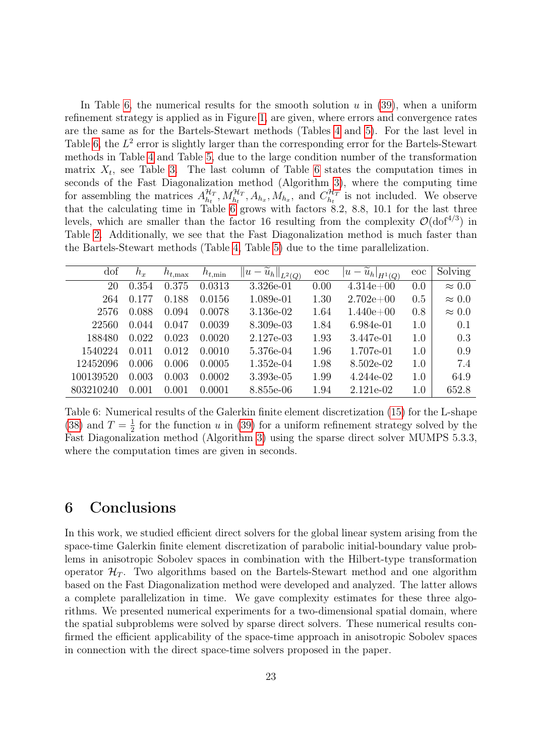In Table [6,](#page-22-1) the numerical results for the smooth solution  $u$  in [\(39\)](#page-18-2), when a uniform refinement strategy is applied as in Figure [1,](#page-19-2) are given, where errors and convergence rates are the same as for the Bartels-Stewart methods (Tables [4](#page-20-1) and [5\)](#page-21-2). For the last level in Table [6,](#page-22-1) the  $L^2$  error is slightly larger than the corresponding error for the Bartels-Stewart methods in Table [4](#page-20-1) and Table [5,](#page-21-2) due to the large condition number of the transformation matrix  $X_t$ , see Table [3.](#page-20-0) The last column of Table [6](#page-22-1) states the computation times in seconds of the Fast Diagonalization method (Algorithm [3\)](#page-17-0), where the computing time for assembling the matrices  $A_{h}^{\mathcal{H}_T}$  $\frac{\mathcal{H}_T}{h_t}, M_{h_t}^{\mathcal{H}_T}, A_{h_x}, M_{h_x}, \text{ and } C_{h_t}^{\mathcal{H}_T}$  $\begin{bmatrix} H_T \\ h_t \end{bmatrix}$  is not included. We observe that the calculating time in Table [6](#page-22-1) grows with factors 8.2, 8.8, 10.1 for the last three levels, which are smaller than the factor 16 resulting from the complexity  $\mathcal{O}(\text{dof}^{4/3})$  in Table [2.](#page-14-0) Additionally, we see that the Fast Diagonalization method is much faster than the Bartels-Stewart methods (Table [4,](#page-20-1) Table [5\)](#page-21-2) due to the time parallelization.

| dof       | $h_x$ | $h_{t,\text{max}}$ | $h_{t,\min}$ | $\widetilde{u}_h\ _{L^2(Q)}$<br>  u<br>$\overline{\phantom{m}}$ | eoc  | $ \overline{u}-\widetilde{u}_h _{H^1(Q)}$ | eoc | Solving       |
|-----------|-------|--------------------|--------------|-----------------------------------------------------------------|------|-------------------------------------------|-----|---------------|
| 20        | 0.354 | 0.375              | 0.0313       | 3.326e-01                                                       | 0.00 | $4.314e+00$                               | 0.0 | $\approx 0.0$ |
| 264       | 0.177 | 0.188              | 0.0156       | 1.089e-01                                                       | 1.30 | $2.702e+00$                               | 0.5 | $\approx 0.0$ |
| 2576      | 0.088 | 0.094              | 0.0078       | 3.136e-02                                                       | 1.64 | $1.440e + 00$                             | 0.8 | $\approx 0.0$ |
| 22560     | 0.044 | 0.047              | 0.0039       | 8.309e-03                                                       | 1.84 | 6.984e-01                                 | 1.0 | 0.1           |
| 188480    | 0.022 | 0.023              | 0.0020       | 2.127e-03                                                       | 1.93 | 3.447e-01                                 | 1.0 | 0.3           |
| 1540224   | 0.011 | 0.012              | 0.0010       | 5.376e-04                                                       | 1.96 | 1.707e-01                                 | 1.0 | 0.9           |
| 12452096  | 0.006 | 0.006              | 0.0005       | $1.352e-04$                                                     | 1.98 | 8.502e-02                                 | 1.0 | 7.4           |
| 100139520 | 0.003 | 0.003              | 0.0002       | 3.393e-05                                                       | 1.99 | 4.244e-02                                 | 1.0 | 64.9          |
| 803210240 | 0.001 | 0.001              | 0.0001       | 8.855e-06                                                       | 1.94 | 2.121e-02                                 | 1.0 | 652.8         |

<span id="page-22-1"></span>Table 6: Numerical results of the Galerkin finite element discretization [\(15\)](#page-6-0) for the L-shape [\(38\)](#page-18-3) and  $T = \frac{1}{2}$  $\frac{1}{2}$  for the function u in [\(39\)](#page-18-2) for a uniform refinement strategy solved by the Fast Diagonalization method (Algorithm [3\)](#page-17-0) using the sparse direct solver MUMPS 5.3.3, where the computation times are given in seconds.

# <span id="page-22-0"></span>6 Conclusions

In this work, we studied efficient direct solvers for the global linear system arising from the space-time Galerkin finite element discretization of parabolic initial-boundary value problems in anisotropic Sobolev spaces in combination with the Hilbert-type transformation operator  $\mathcal{H}_T$ . Two algorithms based on the Bartels-Stewart method and one algorithm based on the Fast Diagonalization method were developed and analyzed. The latter allows a complete parallelization in time. We gave complexity estimates for these three algorithms. We presented numerical experiments for a two-dimensional spatial domain, where the spatial subproblems were solved by sparse direct solvers. These numerical results confirmed the efficient applicability of the space-time approach in anisotropic Sobolev spaces in connection with the direct space-time solvers proposed in the paper.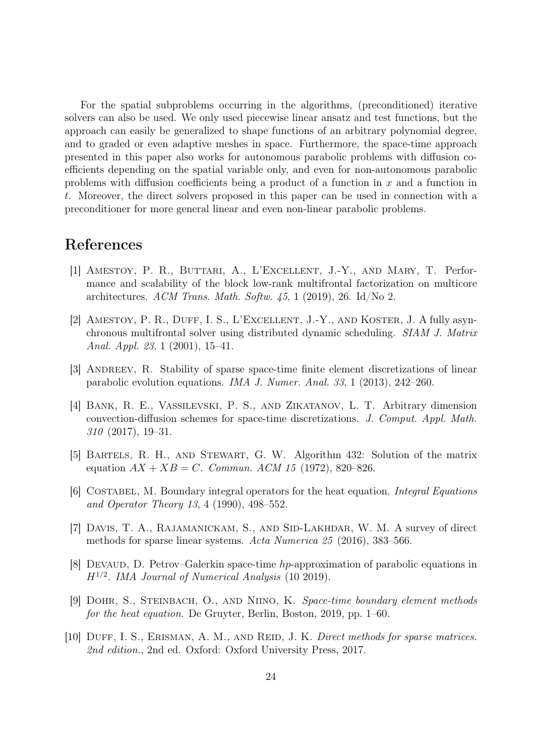For the spatial subproblems occurring in the algorithms, (preconditioned) iterative solvers can also be used. We only used piecewise linear ansatz and test functions, but the approach can easily be generalized to shape functions of an arbitrary polynomial degree, and to graded or even adaptive meshes in space. Furthermore, the space-time approach presented in this paper also works for autonomous parabolic problems with diffusion coefficients depending on the spatial variable only, and even for non-autonomous parabolic problems with diffusion coefficients being a product of a function in  $x$  and a function in t. Moreover, the direct solvers proposed in this paper can be used in connection with a preconditioner for more general linear and even non-linear parabolic problems.

# References

- <span id="page-23-8"></span>[1] Amestoy, P. R., Buttari, A., L'Excellent, J.-Y., and Mary, T. Performance and scalability of the block low-rank multifrontal factorization on multicore architectures. ACM Trans. Math. Softw.  $45$ , 1 (2019), 26. Id/No 2.
- <span id="page-23-9"></span>[2] AMESTOY, P. R., DUFF, I. S., L'EXCELLENT, J.-Y., AND KOSTER, J. A fully asynchronous multifrontal solver using distributed dynamic scheduling. SIAM J. Matrix Anal. Appl. 23, 1 (2001), 15–41.
- <span id="page-23-0"></span>[3] ANDREEV, R. Stability of sparse space-time finite element discretizations of linear parabolic evolution equations. IMA J. Numer. Anal. 33, 1 (2013), 242–260.
- <span id="page-23-1"></span>[4] Bank, R. E., Vassilevski, P. S., and Zikatanov, L. T. Arbitrary dimension convection-diffusion schemes for space-time discretizations. J. Comput. Appl. Math. 310 (2017), 19–31.
- <span id="page-23-5"></span>[5] Bartels, R. H., and Stewart, G. W. Algorithm 432: Solution of the matrix equation  $AX + XB = C$ . Commun. ACM 15 (1972), 820–826.
- <span id="page-23-3"></span>[6] COSTABEL, M. Boundary integral operators for the heat equation. *Integral Equations* and Operator Theory 13, 4 (1990), 498–552.
- <span id="page-23-6"></span>[7] DAVIS, T. A., RAJAMANICKAM, S., AND SID-LAKHDAR, W. M. A survey of direct methods for sparse linear systems. Acta Numerica 25 (2016), 383–566.
- <span id="page-23-2"></span>[8] Devaud, D. Petrov–Galerkin space-time hp-approximation of parabolic equations in  $H^{1/2}$ . IMA Journal of Numerical Analysis (10 2019).
- <span id="page-23-4"></span>[9] Dohr, S., Steinbach, O., and Niino, K. Space-time boundary element methods for the heat equation. De Gruyter, Berlin, Boston, 2019, pp. 1–60.
- <span id="page-23-7"></span>[10] DUFF, I. S., ERISMAN, A. M., AND REID, J. K. Direct methods for sparse matrices. 2nd edition., 2nd ed. Oxford: Oxford University Press, 2017.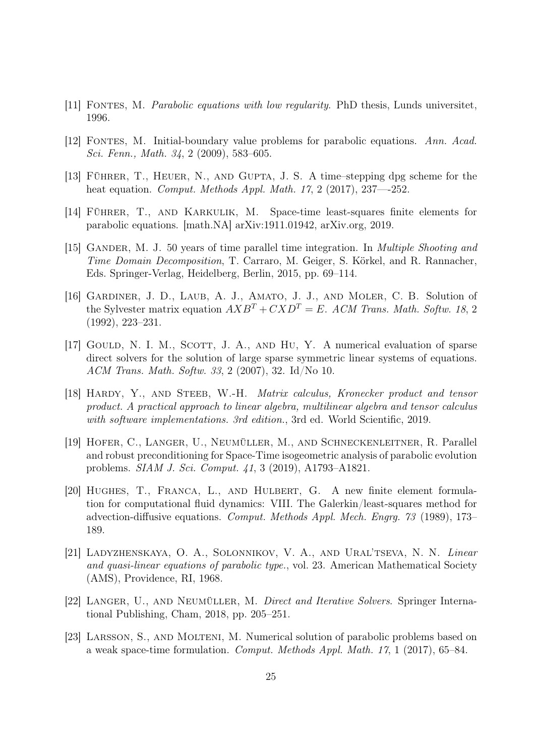- <span id="page-24-8"></span>[11] FONTES, M. *Parabolic equations with low regularity*. PhD thesis, Lunds universitet, 1996.
- <span id="page-24-9"></span>[12] Fontes, M. Initial-boundary value problems for parabolic equations. Ann. Acad. Sci. Fenn., Math. 34, 2 (2009), 583–605.
- <span id="page-24-4"></span>[13] Führer, T., Heuer, N., and Gupta, J. S. A time–stepping dpg scheme for the heat equation. Comput. Methods Appl. Math. 17, 2 (2017), 237—252.
- <span id="page-24-0"></span>[14] Führer, T., and Karkulik, M. Space-time least-squares finite elements for parabolic equations. [math.NA] arXiv:1911.01942, arXiv.org, 2019.
- <span id="page-24-5"></span>[15] GANDER, M. J. 50 years of time parallel time integration. In *Multiple Shooting and* Time Domain Decomposition, T. Carraro, M. Geiger, S. Körkel, and R. Rannacher, Eds. Springer-Verlag, Heidelberg, Berlin, 2015, pp. 69–114.
- <span id="page-24-6"></span>[16] GARDINER, J. D., LAUB, A. J., AMATO, J. J., AND MOLER, C. B. Solution of the Sylvester matrix equation  $AXB^T+CXD^T = E$ . ACM Trans. Math. Softw. 18, 2 (1992), 223–231.
- <span id="page-24-11"></span>[17] GOULD, N. I. M., SCOTT, J. A., AND HU, Y. A numerical evaluation of sparse direct solvers for the solution of large sparse symmetric linear systems of equations. ACM Trans. Math. Softw. 33, 2 (2007), 32. Id/No 10.
- <span id="page-24-10"></span>[18] Hardy, Y., and Steeb, W.-H. Matrix calculus, Kronecker product and tensor product. A practical approach to linear algebra, multilinear algebra and tensor calculus with software implementations. 3rd edition., 3rd ed. World Scientific, 2019.
- <span id="page-24-3"></span>[19] Hofer, C., Langer, U., Neumüller, M., and Schneckenleitner, R. Parallel and robust preconditioning for Space-Time isogeometric analysis of parabolic evolution problems. SIAM J. Sci. Comput. 41, 3 (2019), A1793–A1821.
- <span id="page-24-1"></span>[20] Hughes, T., Franca, L., and Hulbert, G. A new finite element formulation for computational fluid dynamics: VIII. The Galerkin/least-squares method for advection-diffusive equations. Comput. Methods Appl. Mech. Engrg. 73 (1989), 173– 189.
- <span id="page-24-7"></span>[21] Ladyzhenskaya, O. A., Solonnikov, V. A., and Ural'tseva, N. N. Linear and quasi-linear equations of parabolic type., vol. 23. American Mathematical Society (AMS), Providence, RI, 1968.
- <span id="page-24-12"></span>[22] Langer, U., and Neumüller, M. Direct and Iterative Solvers. Springer International Publishing, Cham, 2018, pp. 205–251.
- <span id="page-24-2"></span>[23] Larsson, S., and Molteni, M. Numerical solution of parabolic problems based on a weak space-time formulation. Comput. Methods Appl. Math. 17, 1 (2017), 65–84.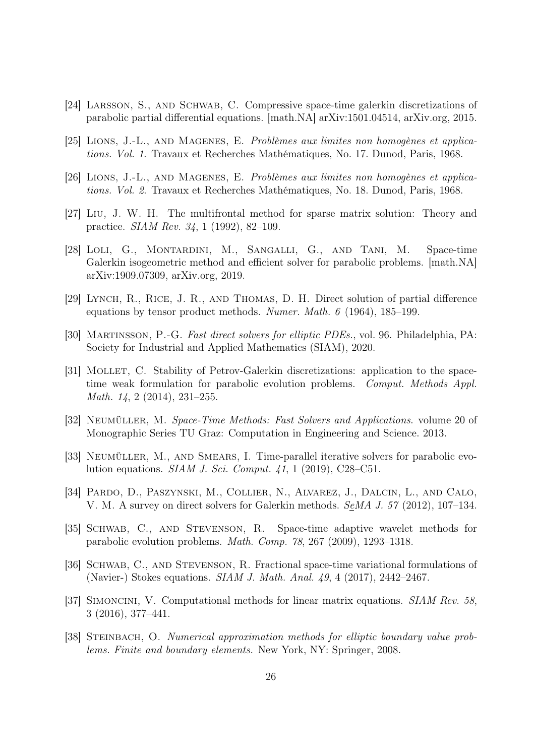- <span id="page-25-5"></span>[24] Larsson, S., and Schwab, C. Compressive space-time galerkin discretizations of parabolic partial differential equations. [math.NA] arXiv:1501.04514, arXiv.org, 2015.
- <span id="page-25-9"></span>[25] Lions, J.-L., and Magenes, E. Problèmes aux limites non homogènes et applications. Vol. 1. Travaux et Recherches Mathématiques, No. 17. Dunod, Paris, 1968.
- <span id="page-25-10"></span>[26] Lions, J.-L., and Magenes, E. Problèmes aux limites non homogènes et applications. Vol. 2. Travaux et Recherches Mathématiques, No. 18. Dunod, Paris, 1968.
- <span id="page-25-12"></span>[27] Liu, J. W. H. The multifrontal method for sparse matrix solution: Theory and practice. SIAM Rev. 34, 1 (1992), 82–109.
- <span id="page-25-0"></span>[28] LOLI, G., MONTARDINI, M., SANGALLI, G., AND TANI, M. Space-time Galerkin isogeometric method and efficient solver for parabolic problems. [math.NA] arXiv:1909.07309, arXiv.org, 2019.
- <span id="page-25-7"></span>[29] Lynch, R., Rice, J. R., and Thomas, D. H. Direct solution of partial difference equations by tensor product methods. Numer. Math. 6 (1964), 185–199.
- <span id="page-25-13"></span>[30] Martinsson, P.-G. Fast direct solvers for elliptic PDEs., vol. 96. Philadelphia, PA: Society for Industrial and Applied Mathematics (SIAM), 2020.
- <span id="page-25-1"></span>[31] Mollet, C. Stability of Petrov-Galerkin discretizations: application to the spacetime weak formulation for parabolic evolution problems. Comput. Methods Appl. Math. 14, 2 (2014), 231–255.
- <span id="page-25-3"></span>[32] Neumüller, M. Space-Time Methods: Fast Solvers and Applications. volume 20 of Monographic Series TU Graz: Computation in Engineering and Science. 2013.
- <span id="page-25-4"></span>[33] Neumüller, M., and Smears, I. Time-parallel iterative solvers for parabolic evolution equations. SIAM J. Sci. Comput. 41, 1 (2019), C28–C51.
- <span id="page-25-14"></span>[34] Pardo, D., Paszynski, M., Collier, N., Alvarez, J., Dalcin, L., and Calo, V. M. A survey on direct solvers for Galerkin methods. SeMA J. 57 (2012), 107–134.
- <span id="page-25-2"></span>[35] Schwab, C., and Stevenson, R. Space-time adaptive wavelet methods for parabolic evolution problems. Math. Comp. 78, 267 (2009), 1293–1318.
- <span id="page-25-6"></span>[36] SCHWAB, C., AND STEVENSON, R. Fractional space-time variational formulations of (Navier-) Stokes equations. SIAM J. Math. Anal. 49, 4 (2017), 2442–2467.
- <span id="page-25-8"></span>[37] Simoncini, V. Computational methods for linear matrix equations. SIAM Rev. 58, 3 (2016), 377–441.
- <span id="page-25-11"></span>[38] STEINBACH, O. Numerical approximation methods for elliptic boundary value problems. Finite and boundary elements. New York, NY: Springer, 2008.